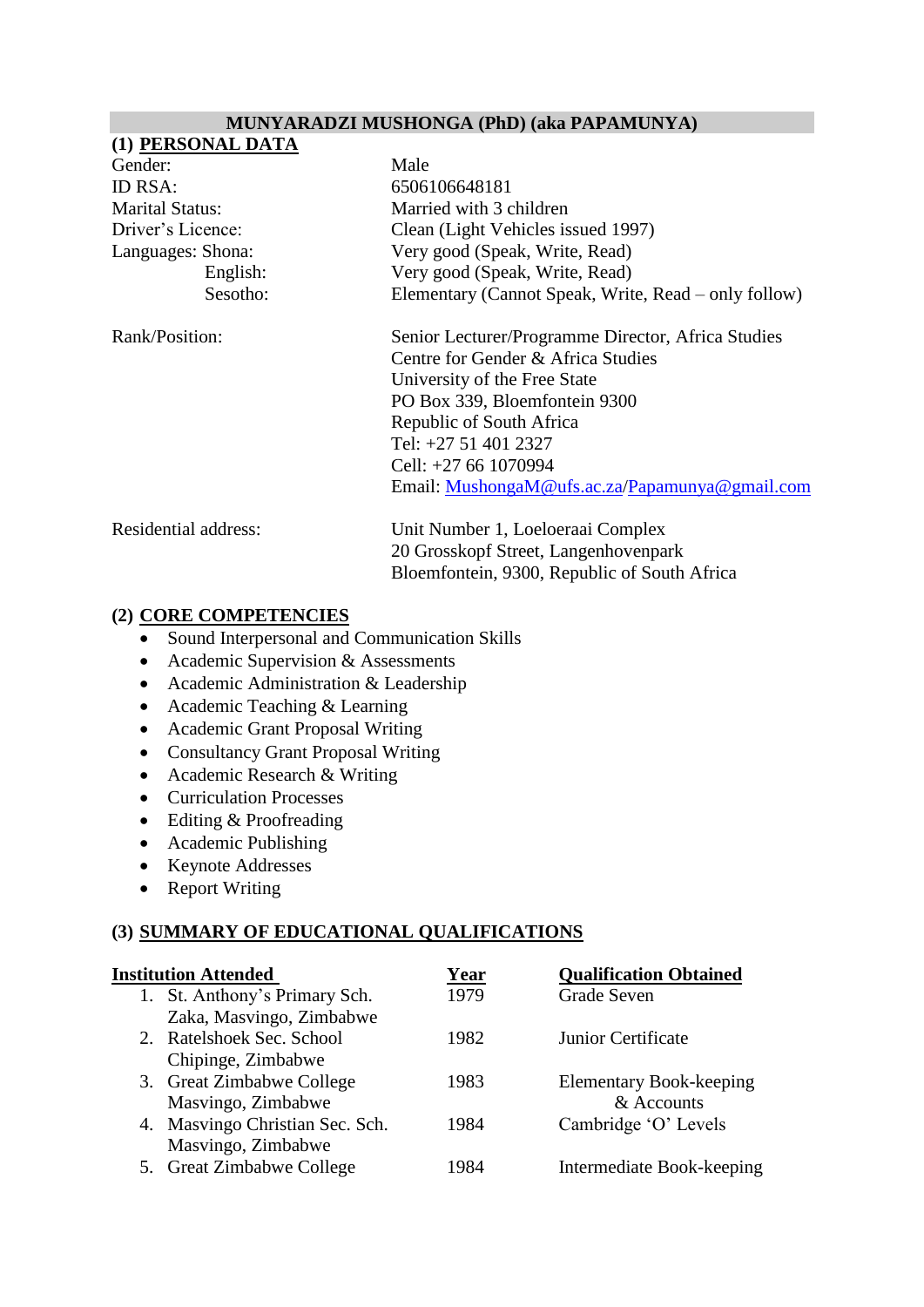## **MUNYARADZI MUSHONGA (PhD) (aka PAPAMUNYA)**

| (1) PERSONAL DATA      |                                                      |  |  |
|------------------------|------------------------------------------------------|--|--|
| Gender:                | Male                                                 |  |  |
| ID RSA:                | 6506106648181                                        |  |  |
| <b>Marital Status:</b> | Married with 3 children                              |  |  |
| Driver's Licence:      | Clean (Light Vehicles issued 1997)                   |  |  |
| Languages: Shona:      | Very good (Speak, Write, Read)                       |  |  |
| English:               | Very good (Speak, Write, Read)                       |  |  |
| Sesotho:               | Elementary (Cannot Speak, Write, Read – only follow) |  |  |
| Rank/Position:         | Senior Lecturer/Programme Director, Africa Studies   |  |  |
|                        | Centre for Gender & Africa Studies                   |  |  |
|                        | University of the Free State                         |  |  |
|                        | PO Box 339, Bloemfontein 9300                        |  |  |
|                        | Republic of South Africa                             |  |  |
|                        | Tel: +27 51 401 2327                                 |  |  |
|                        | Cell: +27 66 1070994                                 |  |  |
|                        | Email: MushongaM@ufs.ac.za/Papamunya@gmail.com       |  |  |
| Residential address:   | Unit Number 1, Loeloeraai Complex                    |  |  |
|                        | 20 Grosskopf Street, Langenhovenpark                 |  |  |
|                        | Bloemfontein, 9300, Republic of South Africa         |  |  |

## **(2) CORE COMPETENCIES**

- Sound Interpersonal and Communication Skills
- Academic Supervision & Assessments
- Academic Administration & Leadership
- Academic Teaching & Learning
- Academic Grant Proposal Writing
- Consultancy Grant Proposal Writing
- Academic Research & Writing
- Curriculation Processes
- Editing & Proofreading
- Academic Publishing
- Keynote Addresses
- Report Writing

# **(3) SUMMARY OF EDUCATIONAL QUALIFICATIONS**

| <b>Institution Attended</b> |                                 | Year | <b>Qualification Obtained</b>  |
|-----------------------------|---------------------------------|------|--------------------------------|
|                             | 1. St. Anthony's Primary Sch.   | 1979 | <b>Grade Seven</b>             |
|                             | Zaka, Masvingo, Zimbabwe        |      |                                |
|                             | 2. Ratelshoek Sec. School       | 1982 | Junior Certificate             |
|                             | Chipinge, Zimbabwe              |      |                                |
|                             | 3. Great Zimbabwe College       | 1983 | <b>Elementary Book-keeping</b> |
|                             | Masvingo, Zimbabwe              |      | & Accounts                     |
|                             | 4. Masvingo Christian Sec. Sch. | 1984 | Cambridge 'O' Levels           |
|                             | Masvingo, Zimbabwe              |      |                                |
|                             | 5. Great Zimbabwe College       | 1984 | Intermediate Book-keeping      |
|                             |                                 |      |                                |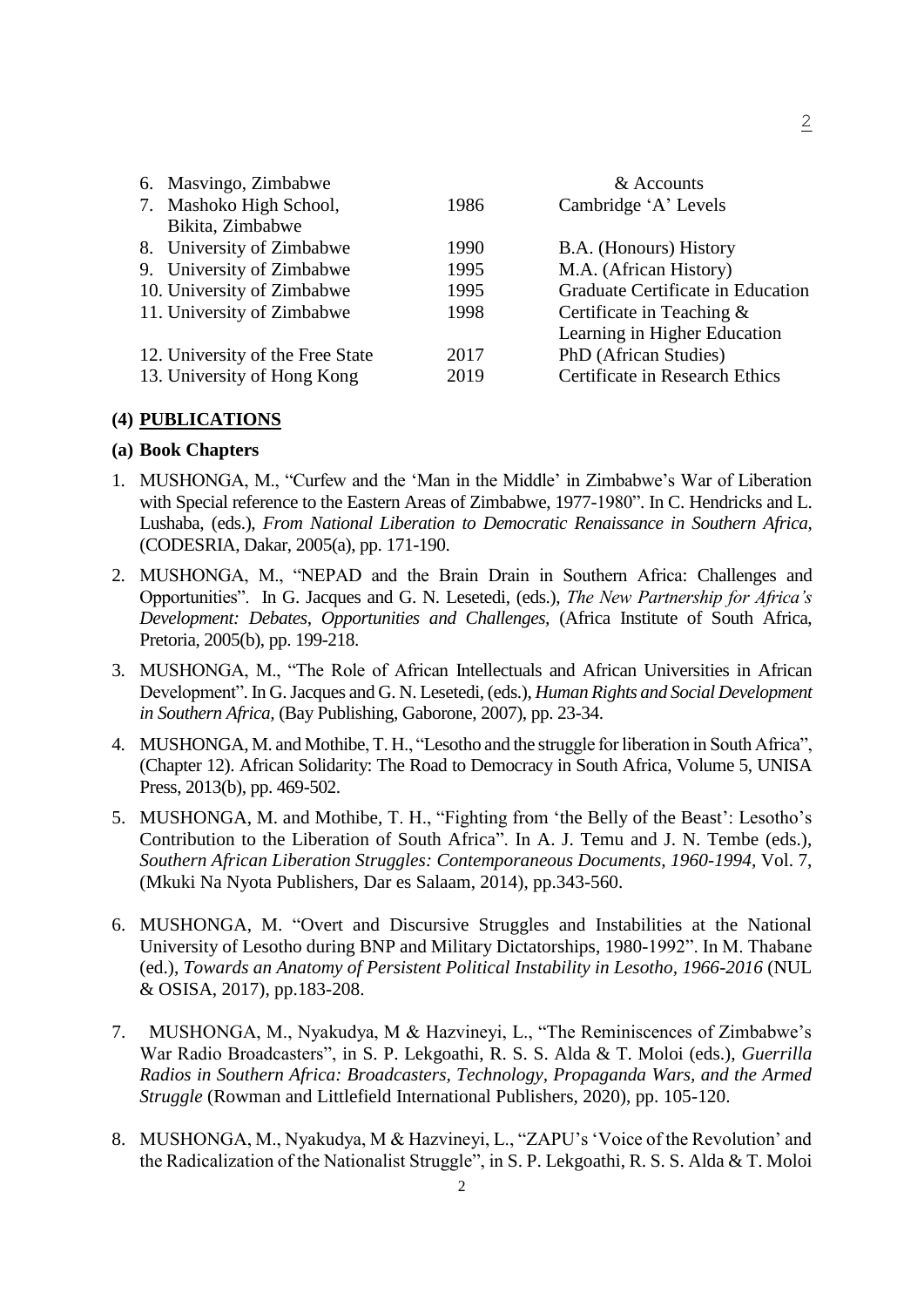| 6. Masvingo, Zimbabwe            |      | & Accounts                        |
|----------------------------------|------|-----------------------------------|
| 7. Mashoko High School,          | 1986 | Cambridge 'A' Levels              |
| Bikita, Zimbabwe                 |      |                                   |
| 8. University of Zimbabwe        | 1990 | B.A. (Honours) History            |
| 9. University of Zimbabwe        | 1995 | M.A. (African History)            |
| 10. University of Zimbabwe       | 1995 | Graduate Certificate in Education |
| 11. University of Zimbabwe       | 1998 | Certificate in Teaching $\&$      |
|                                  |      | Learning in Higher Education      |
| 12. University of the Free State | 2017 | PhD (African Studies)             |
| 13. University of Hong Kong      | 2019 | Certificate in Research Ethics    |

#### **(4) PUBLICATIONS**

#### **(a) Book Chapters**

- 1. MUSHONGA, M., "Curfew and the 'Man in the Middle' in Zimbabwe's War of Liberation with Special reference to the Eastern Areas of Zimbabwe, 1977-1980". In C. Hendricks and L. Lushaba, (eds.), *From National Liberation to Democratic Renaissance in Southern Africa,*  (CODESRIA, Dakar, 2005(a), pp. 171-190.
- 2. MUSHONGA, M., "NEPAD and the Brain Drain in Southern Africa: Challenges and Opportunities". In G. Jacques and G. N. Lesetedi, (eds.), *The New Partnership for Africa's Development: Debates, Opportunities and Challenges,* (Africa Institute of South Africa, Pretoria, 2005(b), pp. 199-218.
- 3. MUSHONGA, M., "The Role of African Intellectuals and African Universities in African Development". In G. Jacques and G. N. Lesetedi, (eds.), *Human Rights and Social Development in Southern Africa,* (Bay Publishing, Gaborone, 2007), pp. 23-34.
- 4. MUSHONGA, M. and Mothibe, T. H., "Lesotho and the struggle for liberation in South Africa", (Chapter 12). African Solidarity: The Road to Democracy in South Africa, Volume 5, UNISA Press, 2013(b), pp. 469-502.
- 5. MUSHONGA, M. and Mothibe, T. H., "Fighting from 'the Belly of the Beast': Lesotho's Contribution to the Liberation of South Africa". In A. J. Temu and J. N. Tembe (eds.), *Southern African Liberation Struggles: Contemporaneous Documents, 1960-1994,* Vol. 7, (Mkuki Na Nyota Publishers, Dar es Salaam, 2014), pp.343-560.
- 6. MUSHONGA, M. "Overt and Discursive Struggles and Instabilities at the National University of Lesotho during BNP and Military Dictatorships, 1980-1992". In M. Thabane (ed.), *Towards an Anatomy of Persistent Political Instability in Lesotho, 1966-2016* (NUL & OSISA, 2017), pp.183-208.
- 7. MUSHONGA, M., Nyakudya, M & Hazvineyi, L., "The Reminiscences of Zimbabwe's War Radio Broadcasters", in S. P. Lekgoathi, R. S. S. Alda & T. Moloi (eds.), *Guerrilla Radios in Southern Africa: Broadcasters, Technology, Propaganda Wars, and the Armed Struggle* (Rowman and Littlefield International Publishers, 2020), pp. 105-120.
- 8. MUSHONGA, M., Nyakudya, M & Hazvineyi, L., "ZAPU's 'Voice of the Revolution' and the Radicalization of the Nationalist Struggle", in S. P. Lekgoathi, R. S. S. Alda & T. Moloi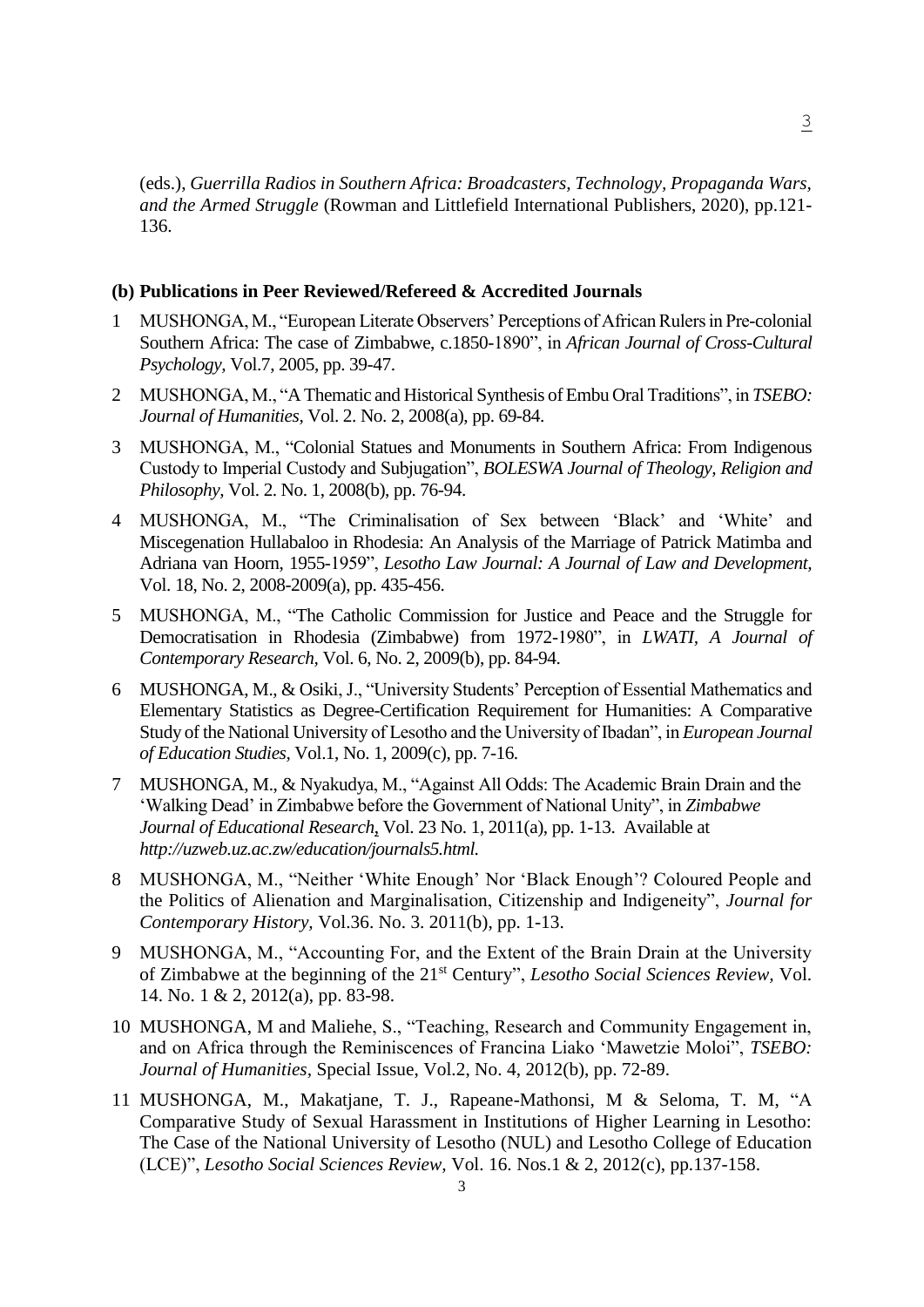(eds.), *Guerrilla Radios in Southern Africa: Broadcasters, Technology, Propaganda Wars, and the Armed Struggle* (Rowman and Littlefield International Publishers, 2020), pp.121- 136.

#### **(b) Publications in Peer Reviewed/Refereed & Accredited Journals**

- 1 MUSHONGA, M., "European Literate Observers' Perceptions of African Rulers in Pre-colonial Southern Africa: The case of Zimbabwe, c.1850-1890", in *African Journal of Cross-Cultural Psychology,* Vol.7, 2005, pp. 39-47.
- 2 MUSHONGA, M., "A Thematic and Historical Synthesis of Embu Oral Traditions", in *TSEBO: Journal of Humanities,* Vol. 2. No. 2, 2008(a), pp. 69-84.
- 3 MUSHONGA, M., "Colonial Statues and Monuments in Southern Africa: From Indigenous Custody to Imperial Custody and Subjugation", *BOLESWA Journal of Theology, Religion and Philosophy,* Vol. 2. No. 1, 2008(b), pp. 76-94.
- 4 MUSHONGA, M., "The Criminalisation of Sex between 'Black' and 'White' and Miscegenation Hullabaloo in Rhodesia: An Analysis of the Marriage of Patrick Matimba and Adriana van Hoorn, 1955-1959", *Lesotho Law Journal: A Journal of Law and Development,* Vol. 18, No. 2, 2008-2009(a), pp. 435-456.
- 5 MUSHONGA, M., "The Catholic Commission for Justice and Peace and the Struggle for Democratisation in Rhodesia (Zimbabwe) from 1972-1980", in *LWATI, A Journal of Contemporary Research,* Vol. 6, No. 2, 2009(b), pp. 84-94.
- 6 MUSHONGA, M., & Osiki, J., "University Students' Perception of Essential Mathematics and Elementary Statistics as Degree-Certification Requirement for Humanities: A Comparative Study of the National University of Lesotho and the University of Ibadan", in *European Journal of Education Studies,* Vol.1, No. 1, 2009(c), pp. 7-16.
- 7 MUSHONGA, M., & Nyakudya, M., "Against All Odds: The Academic Brain Drain and the 'Walking Dead' in Zimbabwe before the Government of National Unity", in *Zimbabwe Journal of Educational Research*, Vol. 23 No. 1, 2011(a), pp. 1-13. Available at *http://uzweb.uz.ac.zw/education/journals5.html.*
- 8 MUSHONGA, M., "Neither 'White Enough' Nor 'Black Enough'? Coloured People and the Politics of Alienation and Marginalisation, Citizenship and Indigeneity", *Journal for Contemporary History,* Vol.36. No. 3. 2011(b), pp. 1-13.
- 9 MUSHONGA, M., "Accounting For, and the Extent of the Brain Drain at the University of Zimbabwe at the beginning of the 21st Century", *Lesotho Social Sciences Review,* Vol. 14. No. 1 & 2, 2012(a), pp. 83-98.
- 10 MUSHONGA, M and Maliehe, S., "Teaching, Research and Community Engagement in, and on Africa through the Reminiscences of Francina Liako 'Mawetzie Moloi", *TSEBO: Journal of Humanities,* Special Issue, Vol.2, No. 4, 2012(b), pp. 72-89.
- 11 MUSHONGA, M., Makatjane, T. J., Rapeane-Mathonsi, M & Seloma, T. M, "A Comparative Study of Sexual Harassment in Institutions of Higher Learning in Lesotho: The Case of the National University of Lesotho (NUL) and Lesotho College of Education (LCE)", *Lesotho Social Sciences Review,* Vol. 16. Nos.1 & 2, 2012(c), pp.137-158.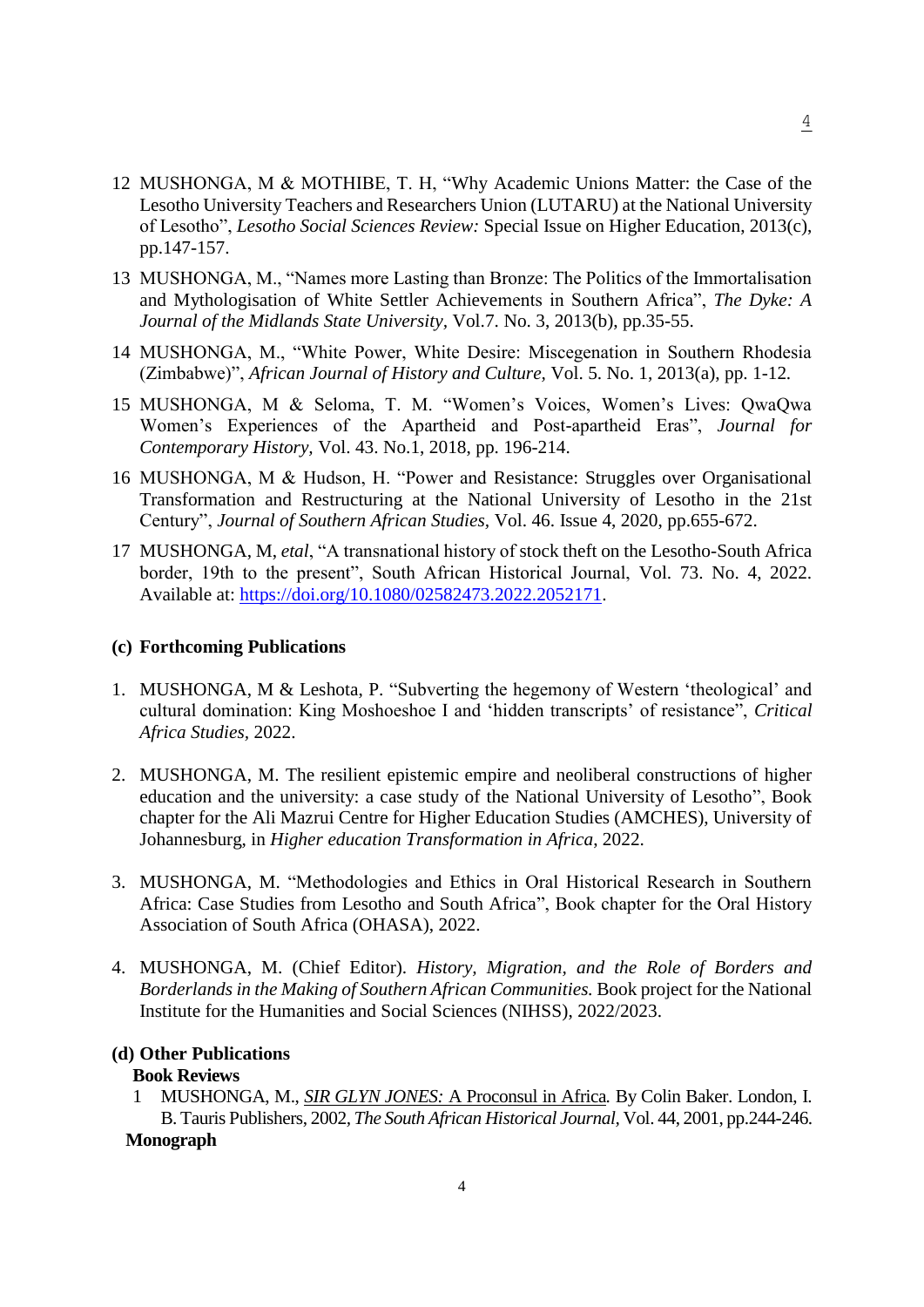- 12 MUSHONGA, M & MOTHIBE, T. H, "Why Academic Unions Matter: the Case of the Lesotho University Teachers and Researchers Union (LUTARU) at the National University of Lesotho", *Lesotho Social Sciences Review:* Special Issue on Higher Education, 2013(c), pp.147-157.
- 13 MUSHONGA, M., "Names more Lasting than Bronze: The Politics of the Immortalisation and Mythologisation of White Settler Achievements in Southern Africa", *The Dyke: A Journal of the Midlands State University,* Vol.7. No. 3, 2013(b), pp.35-55.
- 14 MUSHONGA, M., "White Power, White Desire: Miscegenation in Southern Rhodesia (Zimbabwe)", *African Journal of History and Culture,* Vol. 5. No. 1, 2013(a), pp. 1-12*.*
- 15 MUSHONGA, M & Seloma, T. M. "Women's Voices, Women's Lives: QwaQwa Women's Experiences of the Apartheid and Post-apartheid Eras", *Journal for Contemporary History,* Vol. 43. No.1, 2018, pp. 196-214.
- 16 MUSHONGA, M & Hudson, H. "Power and Resistance: Struggles over Organisational Transformation and Restructuring at the National University of Lesotho in the 21st Century", *Journal of Southern African Studies,* Vol. 46. Issue 4, 2020, pp.655-672.
- 17 MUSHONGA, M, *etal*, "A transnational history of stock theft on the Lesotho-South Africa border, 19th to the present", South African Historical Journal, Vol. 73. No. 4, 2022. Available at: [https://doi.org/10.1080/02582473.2022.2052171.](https://doi.org/10.1080/02582473.2022.2052171)

#### **(c) Forthcoming Publications**

- 1. MUSHONGA, M & Leshota, P. "Subverting the hegemony of Western 'theological' and cultural domination: King Moshoeshoe I and 'hidden transcripts' of resistance", *Critical Africa Studies,* 2022.
- 2. MUSHONGA, M. The resilient epistemic empire and neoliberal constructions of higher education and the university: a case study of the National University of Lesotho", Book chapter for the Ali Mazrui Centre for Higher Education Studies (AMCHES), University of Johannesburg, in *Higher education Transformation in Africa*, 2022.
- 3. MUSHONGA, M. "Methodologies and Ethics in Oral Historical Research in Southern Africa: Case Studies from Lesotho and South Africa", Book chapter for the Oral History Association of South Africa (OHASA), 2022.
- 4. MUSHONGA, M. (Chief Editor). *History, Migration, and the Role of Borders and Borderlands in the Making of Southern African Communities.* Book project for the National Institute for the Humanities and Social Sciences (NIHSS), 2022/2023.

#### **(d) Other Publications Book Reviews**

1 MUSHONGA, M., *SIR GLYN JONES:* A Proconsul in Africa*.* By Colin Baker. London, I. B. Tauris Publishers, 2002*, The South African Historical Journal,* Vol. 44, 2001, pp.244-246. **Monograph**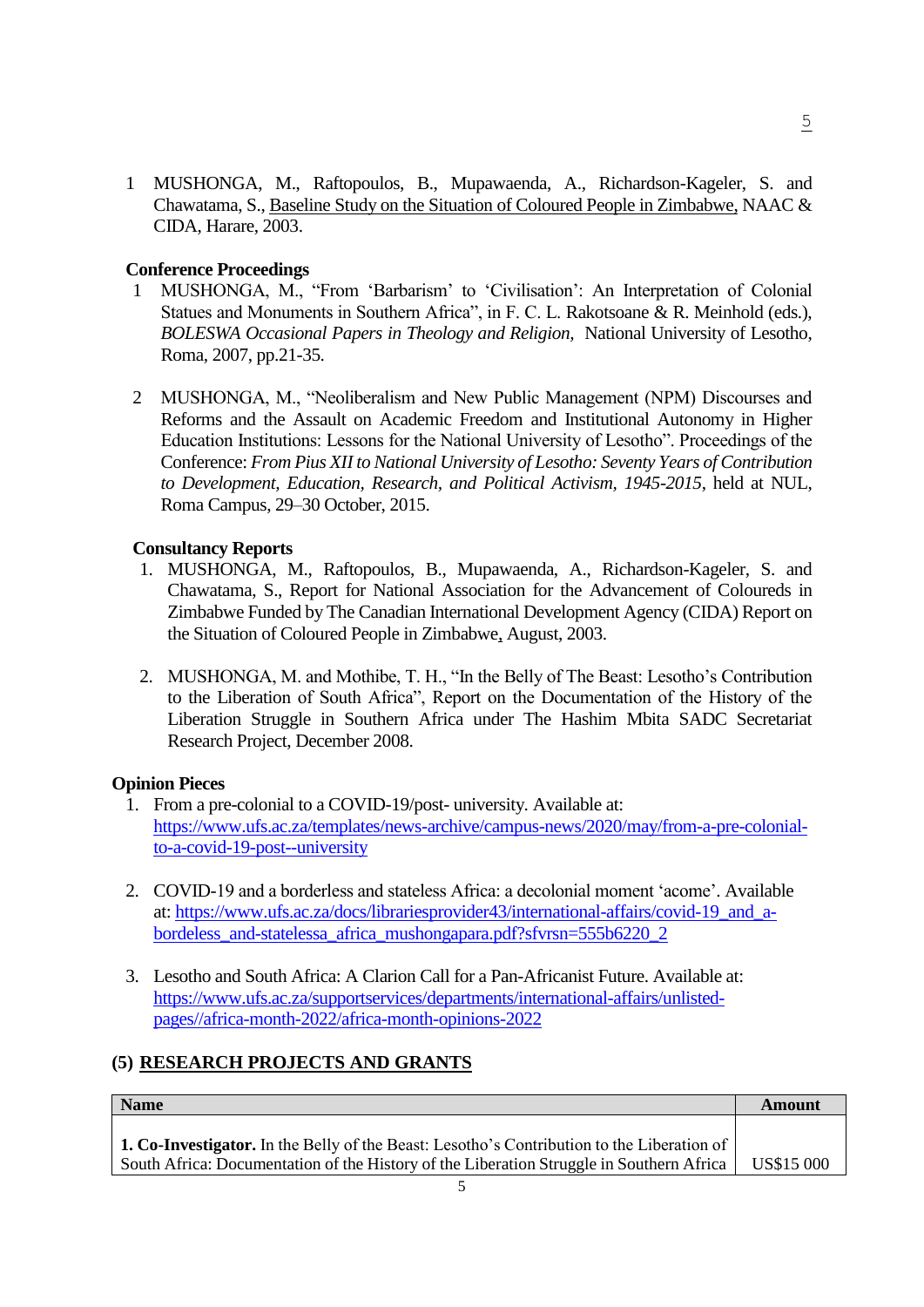1 MUSHONGA, M., Raftopoulos, B., Mupawaenda, A., Richardson-Kageler, S. and Chawatama, S., Baseline Study on the Situation of Coloured People in Zimbabwe, NAAC & CIDA, Harare, 2003.

## **Conference Proceedings**

- 1 MUSHONGA, M., "From 'Barbarism' to 'Civilisation': An Interpretation of Colonial Statues and Monuments in Southern Africa", in F. C. L. Rakotsoane & R. Meinhold (eds.), *BOLESWA Occasional Papers in Theology and Religion,* National University of Lesotho, Roma, 2007, pp.21-35.
- 2 MUSHONGA, M., "Neoliberalism and New Public Management (NPM) Discourses and Reforms and the Assault on Academic Freedom and Institutional Autonomy in Higher Education Institutions: Lessons for the National University of Lesotho". Proceedings of the Conference: *From Pius XII to National University of Lesotho: Seventy Years of Contribution to Development, Education, Research, and Political Activism, 1945-2015*, held at NUL, Roma Campus, 29–30 October, 2015.

## **Consultancy Reports**

- 1. MUSHONGA, M., Raftopoulos, B., Mupawaenda, A., Richardson-Kageler, S. and Chawatama, S., Report for National Association for the Advancement of Coloureds in Zimbabwe Funded by The Canadian International Development Agency (CIDA) Report on the Situation of Coloured People in Zimbabwe, August, 2003.
- 2. MUSHONGA, M. and Mothibe, T. H., "In the Belly of The Beast: Lesotho's Contribution to the Liberation of South Africa", Report on the Documentation of the History of the Liberation Struggle in Southern Africa under The Hashim Mbita SADC Secretariat Research Project, December 2008.

### **Opinion Pieces**

- 1. From a pre-colonial to a COVID-19/post- university. Available at: [https://www.ufs.ac.za/templates/news-archive/campus-news/2020/may/from-a-pre-colonial](https://www.ufs.ac.za/templates/news-archive/campus-news/2020/may/from-a-pre-colonial-to-a-covid-19-post--university)[to-a-covid-19-post--university](https://www.ufs.ac.za/templates/news-archive/campus-news/2020/may/from-a-pre-colonial-to-a-covid-19-post--university)
- 2. COVID-19 and a borderless and stateless Africa: a decolonial moment 'acome'. Available at: [https://www.ufs.ac.za/docs/librariesprovider43/international-affairs/covid-19\\_and\\_a](https://www.ufs.ac.za/docs/librariesprovider43/international-affairs/covid-19_and_a-bordeless_and-statelessa_africa_mushongapara.pdf?sfvrsn=555b6220_2)[bordeless\\_and-statelessa\\_africa\\_mushongapara.pdf?sfvrsn=555b6220\\_2](https://www.ufs.ac.za/docs/librariesprovider43/international-affairs/covid-19_and_a-bordeless_and-statelessa_africa_mushongapara.pdf?sfvrsn=555b6220_2)
- 3. Lesotho and South Africa: A Clarion Call for a Pan-Africanist Future. Available at: [https://www.ufs.ac.za/supportservices/departments/international-affairs/unlisted](https://www.ufs.ac.za/supportservices/departments/international-affairs/unlisted-pages/africa-month-2022/africa-month-opinions-2022)[pages//africa-month-2022/africa-month-opinions-2022](https://www.ufs.ac.za/supportservices/departments/international-affairs/unlisted-pages/africa-month-2022/africa-month-opinions-2022)

# **(5) RESEARCH PROJECTS AND GRANTS**

| <b>Name</b>                                                                                | Amount            |
|--------------------------------------------------------------------------------------------|-------------------|
|                                                                                            |                   |
| 1. Co-Investigator. In the Belly of the Beast: Lesotho's Contribution to the Liberation of |                   |
| South Africa: Documentation of the History of the Liberation Struggle in Southern Africa   | <b>US\$15 000</b> |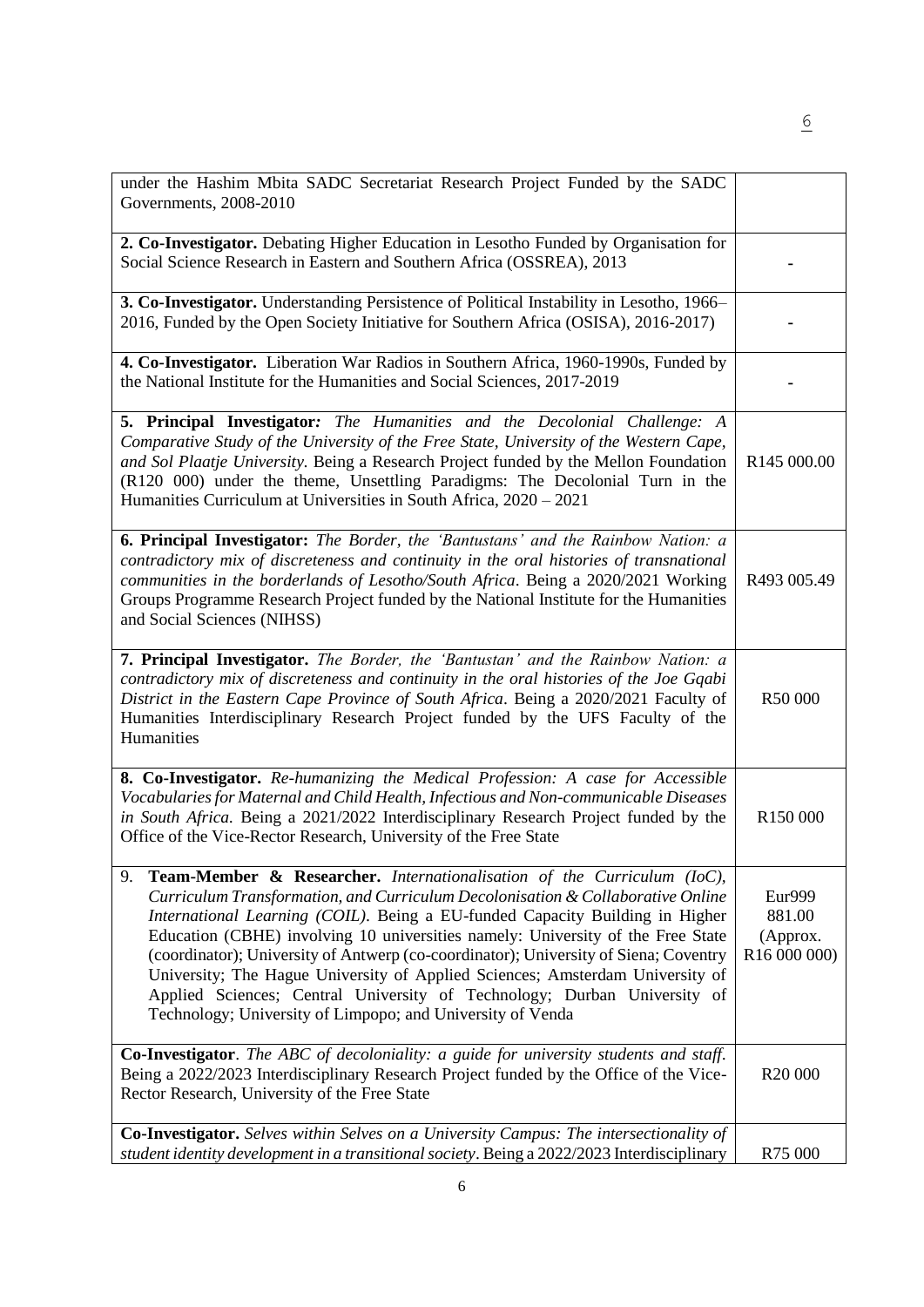| under the Hashim Mbita SADC Secretariat Research Project Funded by the SADC<br>Governments, 2008-2010                                                                                                                                                                                                                                                                                                                                                                                                                                                                                                                                                             |                                              |
|-------------------------------------------------------------------------------------------------------------------------------------------------------------------------------------------------------------------------------------------------------------------------------------------------------------------------------------------------------------------------------------------------------------------------------------------------------------------------------------------------------------------------------------------------------------------------------------------------------------------------------------------------------------------|----------------------------------------------|
| 2. Co-Investigator. Debating Higher Education in Lesotho Funded by Organisation for<br>Social Science Research in Eastern and Southern Africa (OSSREA), 2013                                                                                                                                                                                                                                                                                                                                                                                                                                                                                                      |                                              |
| 3. Co-Investigator. Understanding Persistence of Political Instability in Lesotho, 1966–<br>2016, Funded by the Open Society Initiative for Southern Africa (OSISA), 2016-2017)                                                                                                                                                                                                                                                                                                                                                                                                                                                                                   |                                              |
| 4. Co-Investigator. Liberation War Radios in Southern Africa, 1960-1990s, Funded by<br>the National Institute for the Humanities and Social Sciences, 2017-2019                                                                                                                                                                                                                                                                                                                                                                                                                                                                                                   |                                              |
| 5. Principal Investigator: The Humanities and the Decolonial Challenge: A<br>Comparative Study of the University of the Free State, University of the Western Cape,<br>and Sol Plaatje University. Being a Research Project funded by the Mellon Foundation<br>(R120 000) under the theme, Unsettling Paradigms: The Decolonial Turn in the<br>Humanities Curriculum at Universities in South Africa, 2020 - 2021                                                                                                                                                                                                                                                 | R145 000.00                                  |
| 6. Principal Investigator: The Border, the 'Bantustans' and the Rainbow Nation: a<br>contradictory mix of discreteness and continuity in the oral histories of transnational<br>communities in the borderlands of Lesotho/South Africa. Being a 2020/2021 Working<br>Groups Programme Research Project funded by the National Institute for the Humanities<br>and Social Sciences (NIHSS)                                                                                                                                                                                                                                                                         | R493 005.49                                  |
| 7. Principal Investigator. The Border, the 'Bantustan' and the Rainbow Nation: a<br>contradictory mix of discreteness and continuity in the oral histories of the Joe Gqabi<br>District in the Eastern Cape Province of South Africa. Being a 2020/2021 Faculty of<br>Humanities Interdisciplinary Research Project funded by the UFS Faculty of the<br>Humanities                                                                                                                                                                                                                                                                                                | R50 000                                      |
| 8. Co-Investigator. Re-humanizing the Medical Profession: A case for Accessible<br>Vocabularies for Maternal and Child Health, Infectious and Non-communicable Diseases<br>in South Africa. Being a 2021/2022 Interdisciplinary Research Project funded by the<br>Office of the Vice-Rector Research, University of the Free State                                                                                                                                                                                                                                                                                                                                | R <sub>150</sub> 000                         |
| 9.<br><b>Team-Member &amp; Researcher.</b> Internationalisation of the Curriculum (IoC),<br>Curriculum Transformation, and Curriculum Decolonisation & Collaborative Online<br>International Learning (COIL). Being a EU-funded Capacity Building in Higher<br>Education (CBHE) involving 10 universities namely: University of the Free State<br>(coordinator); University of Antwerp (co-coordinator); University of Siena; Coventry<br>University; The Hague University of Applied Sciences; Amsterdam University of<br>Applied Sciences; Central University of Technology; Durban University of<br>Technology; University of Limpopo; and University of Venda | Eur999<br>881.00<br>(Approx.<br>R16 000 000) |
| Co-Investigator. The ABC of decoloniality: a guide for university students and staff.<br>Being a 2022/2023 Interdisciplinary Research Project funded by the Office of the Vice-<br>Rector Research, University of the Free State                                                                                                                                                                                                                                                                                                                                                                                                                                  | R <sub>20</sub> 000                          |
| <b>Co-Investigator.</b> Selves within Selves on a University Campus: The intersectionality of<br>student identity development in a transitional society. Being a 2022/2023 Interdisciplinary                                                                                                                                                                                                                                                                                                                                                                                                                                                                      | R75 000                                      |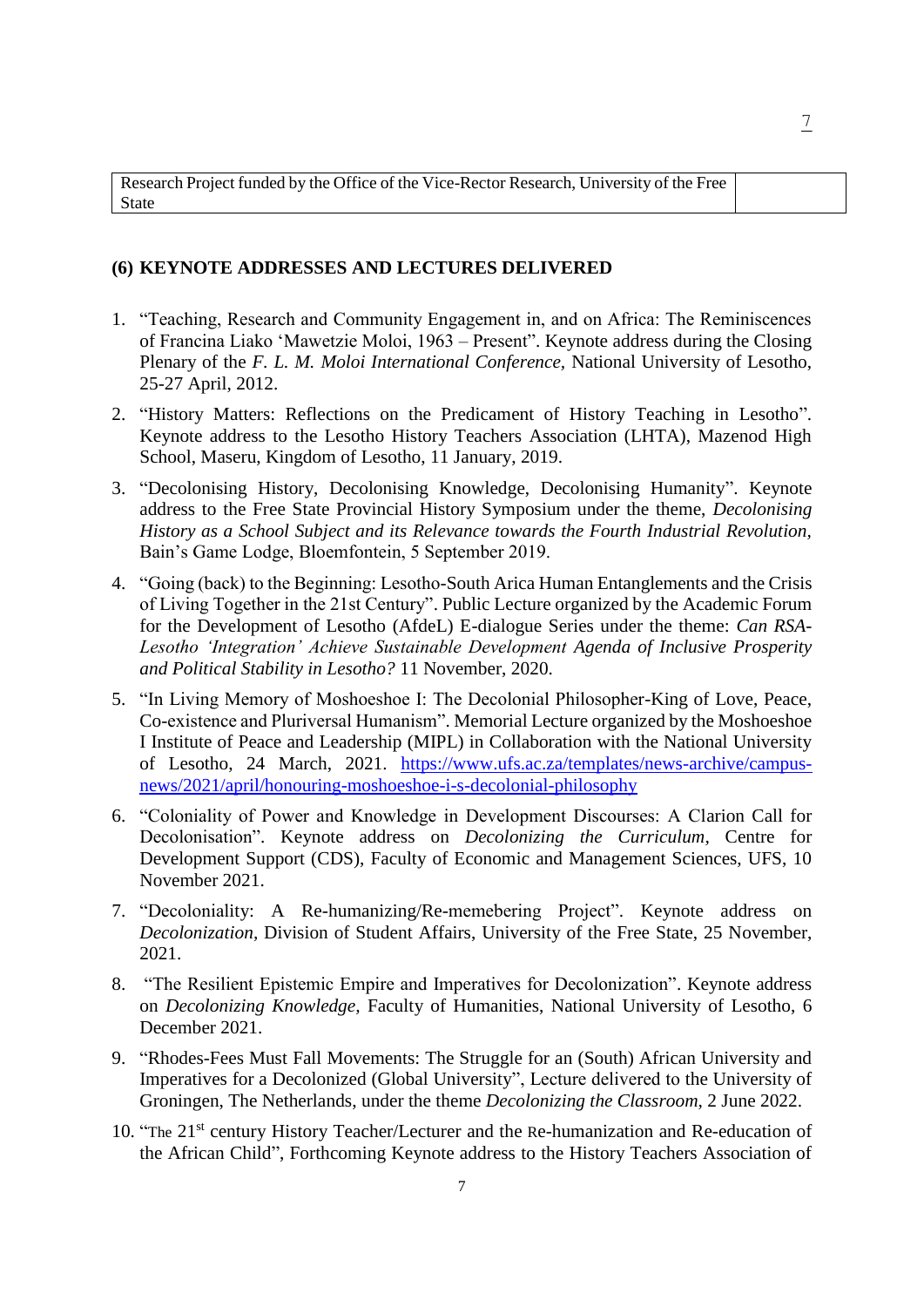### **(6) KEYNOTE ADDRESSES AND LECTURES DELIVERED**

- 1. "Teaching, Research and Community Engagement in, and on Africa: The Reminiscences of Francina Liako 'Mawetzie Moloi, 1963 – Present". Keynote address during the Closing Plenary of the *F. L. M. Moloi International Conference,* National University of Lesotho, 25-27 April, 2012.
- 2. "History Matters: Reflections on the Predicament of History Teaching in Lesotho". Keynote address to the Lesotho History Teachers Association (LHTA), Mazenod High School, Maseru, Kingdom of Lesotho, 11 January, 2019.
- 3. "Decolonising History, Decolonising Knowledge, Decolonising Humanity". Keynote address to the Free State Provincial History Symposium under the theme, *Decolonising History as a School Subject and its Relevance towards the Fourth Industrial Revolution,*  Bain's Game Lodge, Bloemfontein, 5 September 2019.
- 4. "Going (back) to the Beginning: Lesotho-South Arica Human Entanglements and the Crisis of Living Together in the 21st Century". Public Lecture organized by the Academic Forum for the Development of Lesotho (AfdeL) E-dialogue Series under the theme: *Can RSA-Lesotho 'Integration' Achieve Sustainable Development Agenda of Inclusive Prosperity and Political Stability in Lesotho?* 11 November, 2020.
- 5. "In Living Memory of Moshoeshoe I: The Decolonial Philosopher-King of Love, Peace, Co-existence and Pluriversal Humanism". Memorial Lecture organized by the Moshoeshoe I Institute of Peace and Leadership (MIPL) in Collaboration with the National University of Lesotho, 24 March, 2021. [https://www.ufs.ac.za/templates/news-archive/campus](https://www.ufs.ac.za/templates/news-archive/campus-news/2021/april/honouring-moshoeshoe-i-s-decolonial-philosophy)[news/2021/april/honouring-moshoeshoe-i-s-decolonial-philosophy](https://www.ufs.ac.za/templates/news-archive/campus-news/2021/april/honouring-moshoeshoe-i-s-decolonial-philosophy)
- 6. "Coloniality of Power and Knowledge in Development Discourses: A Clarion Call for Decolonisation". Keynote address on *Decolonizing the Curriculum,* Centre for Development Support (CDS), Faculty of Economic and Management Sciences, UFS, 10 November 2021.
- 7. "Decoloniality: A Re-humanizing/Re-memebering Project". Keynote address on *Decolonization,* Division of Student Affairs, University of the Free State, 25 November, 2021.
- 8. "The Resilient Epistemic Empire and Imperatives for Decolonization". Keynote address on *Decolonizing Knowledge,* Faculty of Humanities, National University of Lesotho, 6 December 2021.
- 9. "Rhodes-Fees Must Fall Movements: The Struggle for an (South) African University and Imperatives for a Decolonized (Global University", Lecture delivered to the University of Groningen, The Netherlands, under the theme *Decolonizing the Classroom,* 2 June 2022.
- 10. "The 21st century History Teacher/Lecturer and the Re-humanization and Re-education of the African Child", Forthcoming Keynote address to the History Teachers Association of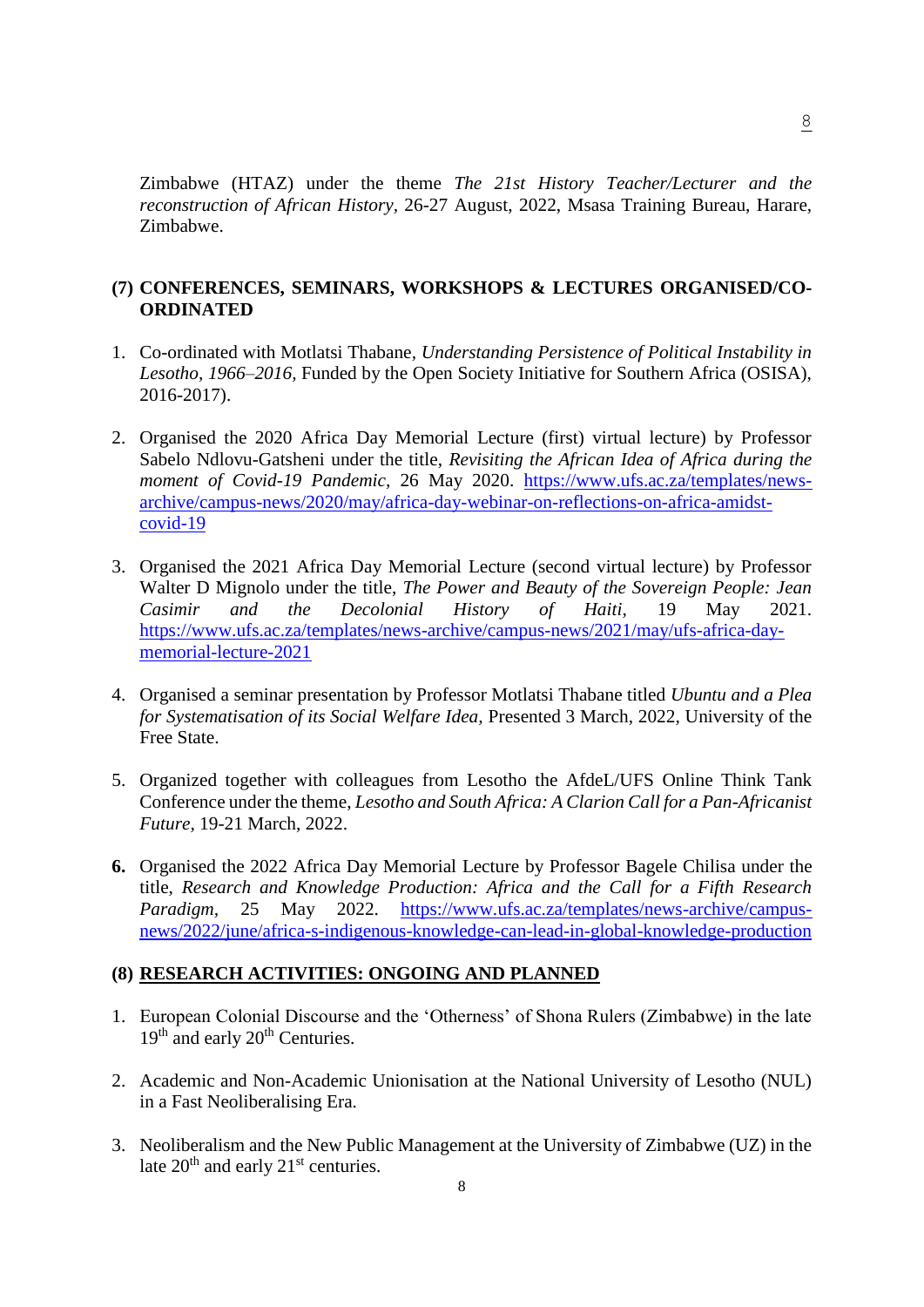Zimbabwe (HTAZ) under the theme *The 21st History Teacher/Lecturer and the reconstruction of African History,* 26-27 August, 2022, Msasa Training Bureau, Harare, Zimbabwe.

## **(7) CONFERENCES, SEMINARS, WORKSHOPS & LECTURES ORGANISED/CO-ORDINATED**

- 1. Co-ordinated with Motlatsi Thabane*, Understanding Persistence of Political Instability in Lesotho, 1966–2016,* Funded by the Open Society Initiative for Southern Africa (OSISA), 2016-2017).
- 2. Organised the 2020 Africa Day Memorial Lecture (first) virtual lecture) by Professor Sabelo Ndlovu-Gatsheni under the title, *Revisiting the African Idea of Africa during the moment of Covid-19 Pandemic,* 26 May 2020. [https://www.ufs.ac.za/templates/news](https://www.ufs.ac.za/templates/news-archive/campus-news/2020/may/africa-day-webinar-on-reflections-on-africa-amidst-covid-19)[archive/campus-news/2020/may/africa-day-webinar-on-reflections-on-africa-amidst](https://www.ufs.ac.za/templates/news-archive/campus-news/2020/may/africa-day-webinar-on-reflections-on-africa-amidst-covid-19)[covid-19](https://www.ufs.ac.za/templates/news-archive/campus-news/2020/may/africa-day-webinar-on-reflections-on-africa-amidst-covid-19)
- 3. Organised the 2021 Africa Day Memorial Lecture (second virtual lecture) by Professor Walter D Mignolo under the title, *The Power and Beauty of the Sovereign People: Jean Casimir and the Decolonial History of Haiti,* 19 May 2021. [https://www.ufs.ac.za/templates/news-archive/campus-news/2021/may/ufs-africa-day](https://www.ufs.ac.za/templates/news-archive/campus-news/2021/may/ufs-africa-day-memorial-lecture-2021)[memorial-lecture-2021](https://www.ufs.ac.za/templates/news-archive/campus-news/2021/may/ufs-africa-day-memorial-lecture-2021)
- 4. Organised a seminar presentation by Professor Motlatsi Thabane titled *Ubuntu and a Plea for Systematisation of its Social Welfare Idea,* Presented 3 March, 2022, University of the Free State.
- 5. Organized together with colleagues from Lesotho the AfdeL/UFS Online Think Tank Conference under the theme, *Lesotho and South Africa: A Clarion Call for a Pan-Africanist Future,* 19-21 March, 2022.
- **6.** Organised the 2022 Africa Day Memorial Lecture by Professor Bagele Chilisa under the title, *Research and Knowledge Production: Africa and the Call for a Fifth Research Paradigm,* 25 May 2022. [https://www.ufs.ac.za/templates/news-archive/campus](https://www.ufs.ac.za/templates/news-archive/campus-news/2022/june/africa-s-indigenous-knowledge-can-lead-in-global-knowledge-production)[news/2022/june/africa-s-indigenous-knowledge-can-lead-in-global-knowledge-production](https://www.ufs.ac.za/templates/news-archive/campus-news/2022/june/africa-s-indigenous-knowledge-can-lead-in-global-knowledge-production)

#### **(8) RESEARCH ACTIVITIES: ONGOING AND PLANNED**

- 1. European Colonial Discourse and the 'Otherness' of Shona Rulers (Zimbabwe) in the late 19<sup>th</sup> and early 20<sup>th</sup> Centuries.
- 2. Academic and Non-Academic Unionisation at the National University of Lesotho (NUL) in a Fast Neoliberalising Era.
- 3. Neoliberalism and the New Public Management at the University of Zimbabwe (UZ) in the late  $20<sup>th</sup>$  and early  $21<sup>st</sup>$  centuries.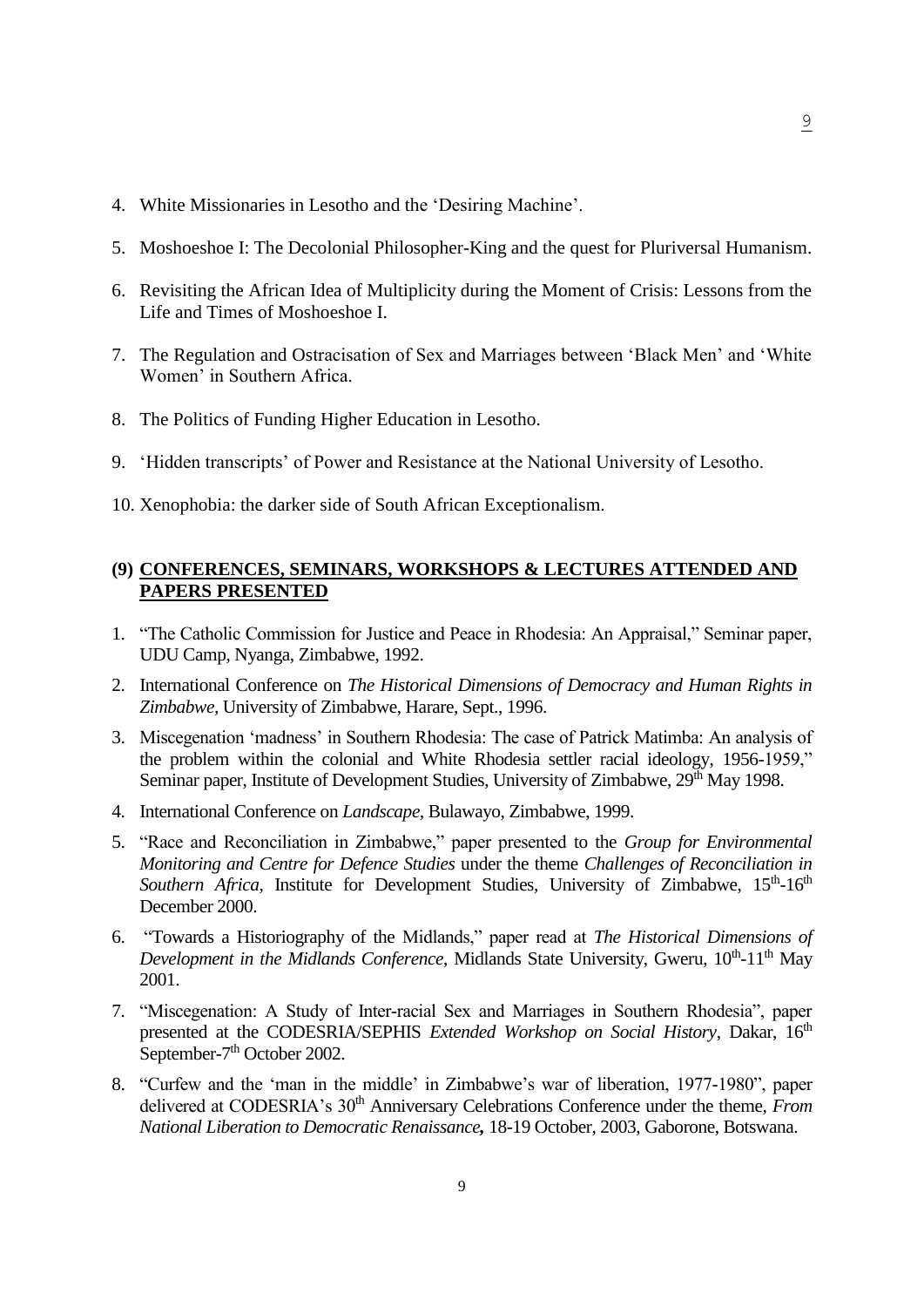- 4. White Missionaries in Lesotho and the 'Desiring Machine'.
- 5. Moshoeshoe I: The Decolonial Philosopher-King and the quest for Pluriversal Humanism.
- 6. Revisiting the African Idea of Multiplicity during the Moment of Crisis: Lessons from the Life and Times of Moshoeshoe I.
- 7. The Regulation and Ostracisation of Sex and Marriages between 'Black Men' and 'White Women' in Southern Africa.
- 8. The Politics of Funding Higher Education in Lesotho.
- 9. 'Hidden transcripts' of Power and Resistance at the National University of Lesotho.
- 10. Xenophobia: the darker side of South African Exceptionalism.

## **(9) CONFERENCES, SEMINARS, WORKSHOPS & LECTURES ATTENDED AND PAPERS PRESENTED**

- 1. "The Catholic Commission for Justice and Peace in Rhodesia: An Appraisal," Seminar paper, UDU Camp, Nyanga, Zimbabwe, 1992.
- 2. International Conference on *The Historical Dimensions of Democracy and Human Rights in Zimbabwe,* University of Zimbabwe, Harare, Sept., 1996.
- 3. Miscegenation 'madness' in Southern Rhodesia: The case of Patrick Matimba: An analysis of the problem within the colonial and White Rhodesia settler racial ideology, 1956-1959," Seminar paper, Institute of Development Studies, University of Zimbabwe, 29<sup>th</sup> May 1998.
- 4. International Conference on *Landscape,* Bulawayo, Zimbabwe, 1999.
- 5. "Race and Reconciliation in Zimbabwe," paper presented to the *Group for Environmental Monitoring and Centre for Defence Studies* under the theme *Challenges of Reconciliation in*  Southern Africa, Institute for Development Studies, University of Zimbabwe, 15<sup>th</sup>-16<sup>th</sup> December 2000.
- 6. "Towards a Historiography of the Midlands," paper read at *The Historical Dimensions of*  Development in the Midlands Conference, Midlands State University, Gweru, 10<sup>th</sup>-11<sup>th</sup> May 2001.
- 7. "Miscegenation: A Study of Inter-racial Sex and Marriages in Southern Rhodesia", paper presented at the CODESRIA/SEPHIS *Extended Workshop on Social History*, Dakar, 16<sup>th</sup> September-7<sup>th</sup> October 2002.
- 8. "Curfew and the 'man in the middle' in Zimbabwe's war of liberation, 1977-1980", paper delivered at CODESRIA's 30<sup>th</sup> Anniversary Celebrations Conference under the theme, *From National Liberation to Democratic Renaissance,* 18-19 October, 2003, Gaborone, Botswana.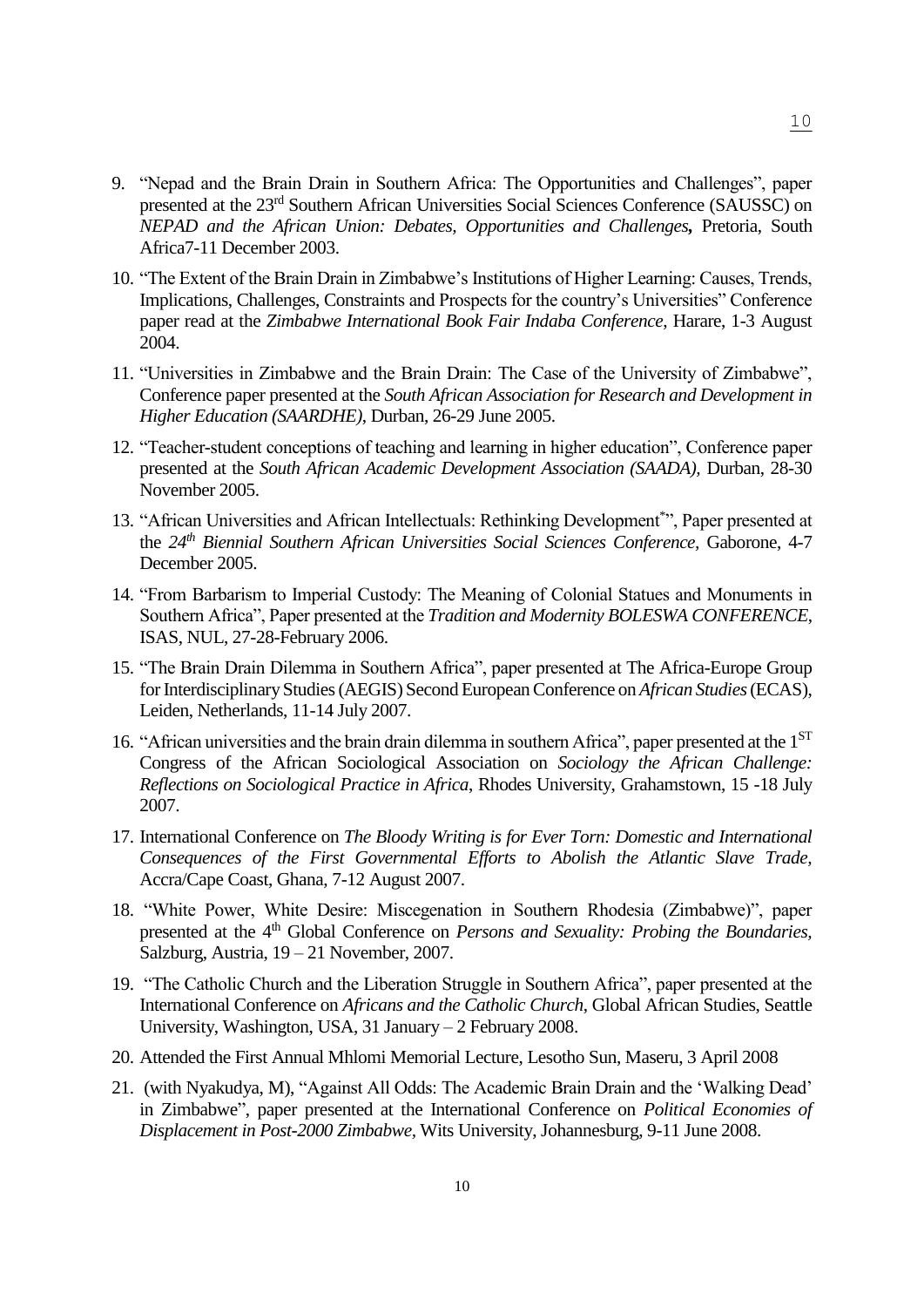- 9. "Nepad and the Brain Drain in Southern Africa: The Opportunities and Challenges", paper presented at the 23rd Southern African Universities Social Sciences Conference (SAUSSC) on *NEPAD and the African Union: Debates, Opportunities and Challenges,* Pretoria, South Africa7-11 December 2003.
- 10. "The Extent of the Brain Drain in Zimbabwe's Institutions of Higher Learning: Causes, Trends, Implications, Challenges, Constraints and Prospects for the country's Universities" Conference paper read at the *Zimbabwe International Book Fair Indaba Conference*, Harare, 1-3 August 2004.
- 11. "Universities in Zimbabwe and the Brain Drain: The Case of the University of Zimbabwe", Conference paper presented at the *South African Association for Research and Development in Higher Education (SAARDHE)*, Durban, 26-29 June 2005.
- 12. "Teacher-student conceptions of teaching and learning in higher education", Conference paper presented at the *South African Academic Development Association (SAADA),* Durban, 28-30 November 2005.
- 13. "African Universities and African Intellectuals: Rethinking Development<sup>\*</sup>", Paper presented at the *24th Biennial Southern African Universities Social Sciences Conference,* Gaborone, 4-7 December 2005.
- 14. "From Barbarism to Imperial Custody: The Meaning of Colonial Statues and Monuments in Southern Africa", Paper presented at the *Tradition and Modernity BOLESWA CONFERENCE*, ISAS, NUL, 27-28-February 2006.
- 15. "The Brain Drain Dilemma in Southern Africa", paper presented at The Africa-Europe Group for Interdisciplinary Studies (AEGIS) Second European Conference on *African Studies*(ECAS), Leiden, Netherlands, 11-14 July 2007.
- 16. "African universities and the brain drain dilemma in southern Africa", paper presented at the 1<sup>ST</sup> Congress of the African Sociological Association on *Sociology the African Challenge: Reflections on Sociological Practice in Africa*, Rhodes University, Grahamstown, 15 -18 July 2007.
- 17. International Conference on *The Bloody Writing is for Ever Torn: Domestic and International Consequences of the First Governmental Efforts to Abolish the Atlantic Slave Trade,*  Accra/Cape Coast, Ghana, 7-12 August 2007.
- 18. "White Power, White Desire: Miscegenation in Southern Rhodesia (Zimbabwe)", paper presented at the 4<sup>th</sup> Global Conference on *Persons and Sexuality: Probing the Boundaries*, Salzburg, Austria, 19 – 21 November, 2007.
- 19. "The Catholic Church and the Liberation Struggle in Southern Africa", paper presented at the International Conference on *Africans and the Catholic Church*, Global African Studies, Seattle University, Washington, USA, 31 January – 2 February 2008.
- 20. Attended the First Annual Mhlomi Memorial Lecture, Lesotho Sun, Maseru, 3 April 2008
- 21. (with Nyakudya, M), "Against All Odds: The Academic Brain Drain and the 'Walking Dead' in Zimbabwe", paper presented at the International Conference on *Political Economies of Displacement in Post-2000 Zimbabwe,* Wits University, Johannesburg, 9-11 June 2008.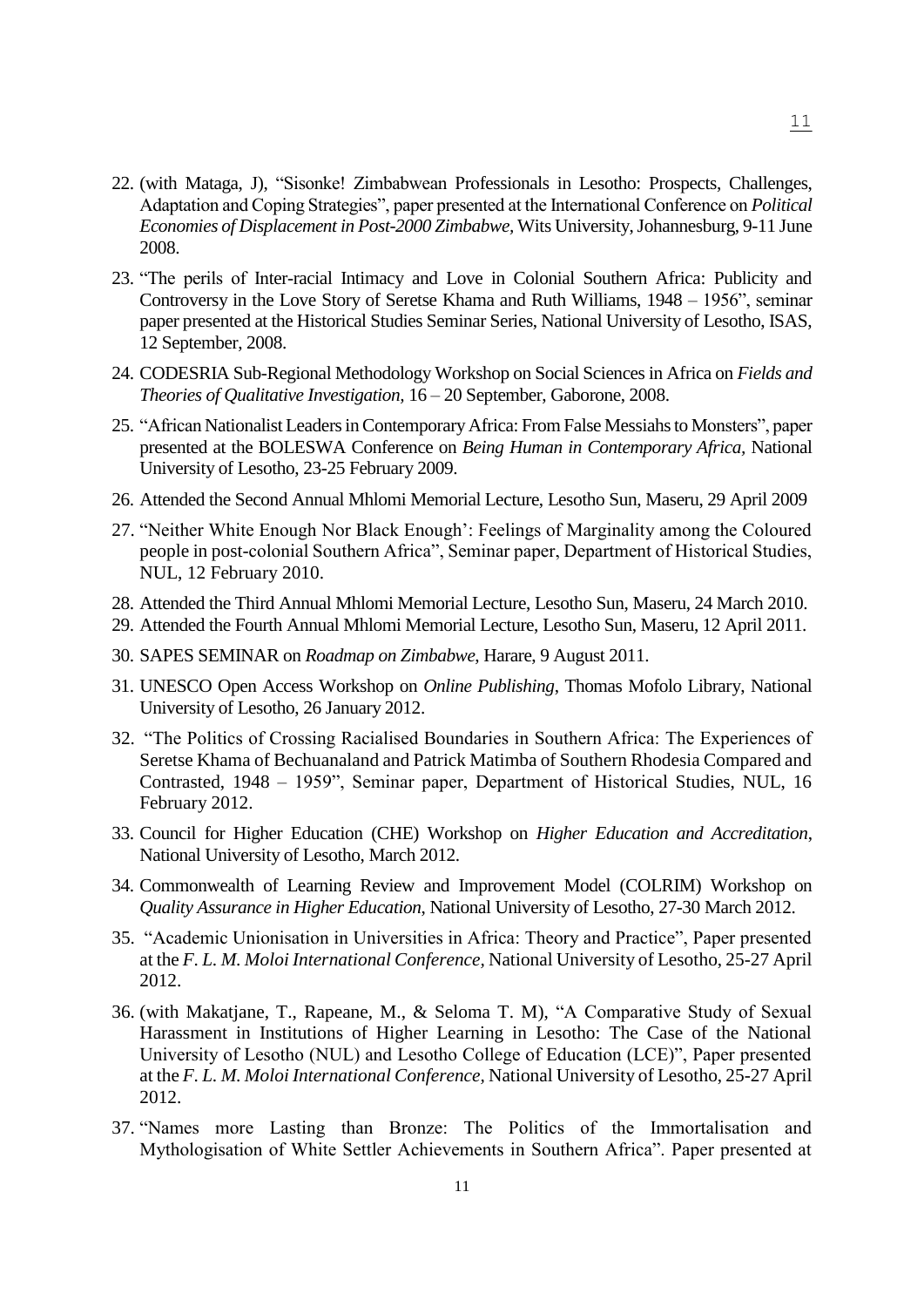- 22. (with Mataga, J), "Sisonke! Zimbabwean Professionals in Lesotho: Prospects, Challenges, Adaptation and Coping Strategies", paper presented at the International Conference on *Political Economies of Displacement in Post-2000 Zimbabwe,* Wits University, Johannesburg, 9-11 June 2008.
- 23. "The perils of Inter-racial Intimacy and Love in Colonial Southern Africa: Publicity and Controversy in the Love Story of Seretse Khama and Ruth Williams, 1948 – 1956", seminar paper presented at the Historical Studies Seminar Series, National University of Lesotho, ISAS, 12 September, 2008.
- 24. CODESRIA Sub-Regional Methodology Workshop on Social Sciences in Africa on *Fields and Theories of Qualitative Investigation,* 16 – 20 September, Gaborone, 2008.
- 25. "African Nationalist Leaders in Contemporary Africa: From False Messiahs to Monsters", paper presented at the BOLESWA Conference on *Being Human in Contemporary Africa,* National University of Lesotho, 23-25 February 2009.
- 26. Attended the Second Annual Mhlomi Memorial Lecture, Lesotho Sun, Maseru, 29 April 2009
- 27. "Neither White Enough Nor Black Enough': Feelings of Marginality among the Coloured people in post-colonial Southern Africa", Seminar paper, Department of Historical Studies, NUL, 12 February 2010.
- 28. Attended the Third Annual Mhlomi Memorial Lecture, Lesotho Sun, Maseru, 24 March 2010.
- 29. Attended the Fourth Annual Mhlomi Memorial Lecture, Lesotho Sun, Maseru, 12 April 2011.
- 30. SAPES SEMINAR on *Roadmap on Zimbabwe*, Harare, 9 August 2011.
- 31. UNESCO Open Access Workshop on *Online Publishing*, Thomas Mofolo Library, National University of Lesotho, 26 January 2012.
- 32. "The Politics of Crossing Racialised Boundaries in Southern Africa: The Experiences of Seretse Khama of Bechuanaland and Patrick Matimba of Southern Rhodesia Compared and Contrasted, 1948 – 1959", Seminar paper, Department of Historical Studies, NUL, 16 February 2012.
- 33. Council for Higher Education (CHE) Workshop on *Higher Education and Accreditation*, National University of Lesotho, March 2012.
- 34. Commonwealth of Learning Review and Improvement Model (COLRIM) Workshop on *Quality Assurance in Higher Education*, National University of Lesotho, 27-30 March 2012.
- 35. "Academic Unionisation in Universities in Africa: Theory and Practice", Paper presented at the *F. L. M. Moloi International Conference,* National University of Lesotho, 25-27 April 2012.
- 36. (with Makatjane, T., Rapeane, M., & Seloma T. M), "A Comparative Study of Sexual Harassment in Institutions of Higher Learning in Lesotho: The Case of the National University of Lesotho (NUL) and Lesotho College of Education (LCE)", Paper presented at the *F. L. M. Moloi International Conference,* National University of Lesotho, 25-27 April 2012.
- 37. "Names more Lasting than Bronze: The Politics of the Immortalisation and Mythologisation of White Settler Achievements in Southern Africa". Paper presented at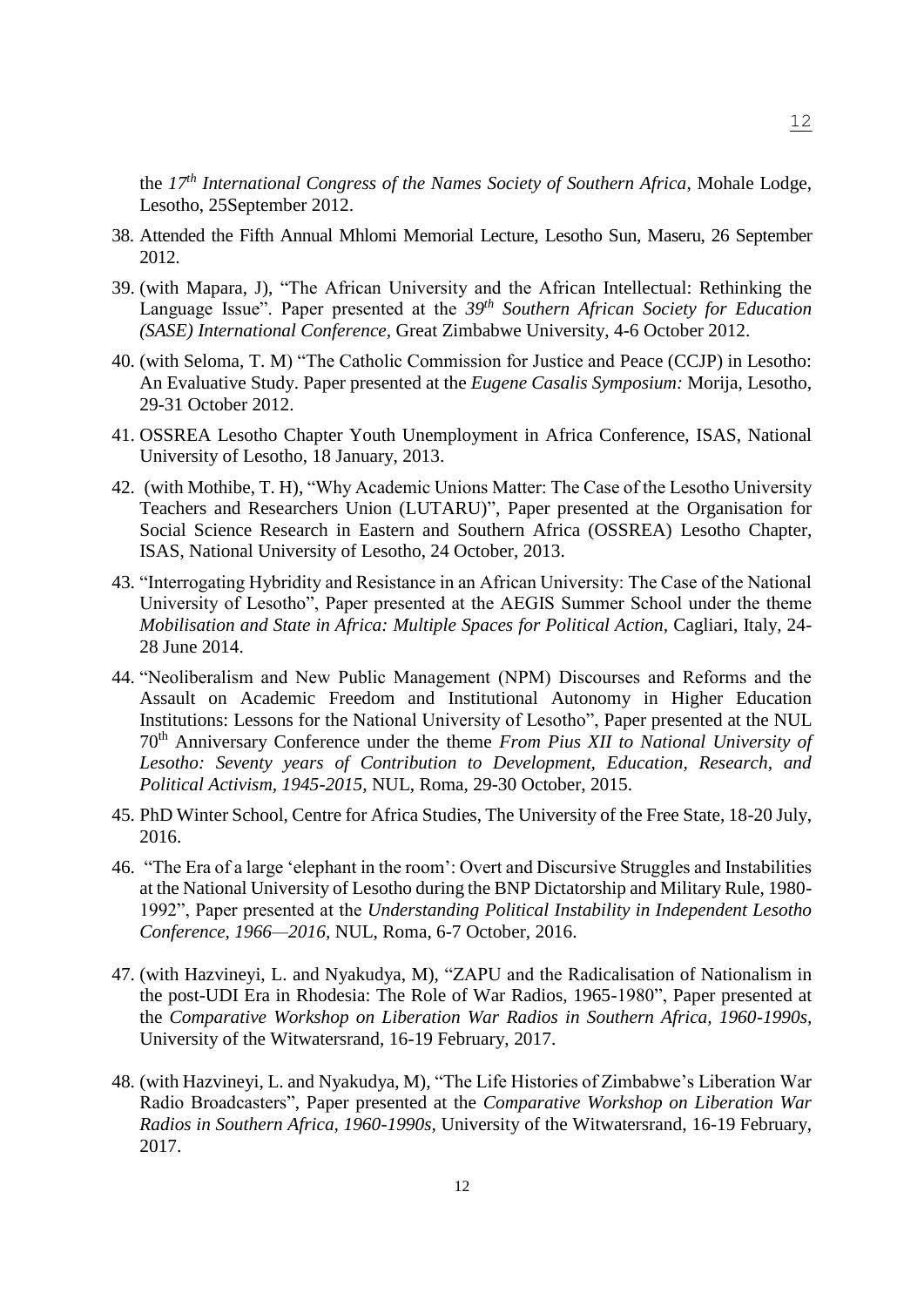the *17th International Congress of the Names Society of Southern Africa*, Mohale Lodge, Lesotho, 25September 2012.

- 38. Attended the Fifth Annual Mhlomi Memorial Lecture, Lesotho Sun, Maseru, 26 September 2012.
- 39. (with Mapara, J), "The African University and the African Intellectual: Rethinking the Language Issue". Paper presented at the *39th Southern African Society for Education (SASE) International Conference,* Great Zimbabwe University, 4-6 October 2012.
- 40. (with Seloma, T. M) "The Catholic Commission for Justice and Peace (CCJP) in Lesotho: An Evaluative Study. Paper presented at the *Eugene Casalis Symposium:* Morija, Lesotho, 29-31 October 2012.
- 41. OSSREA Lesotho Chapter Youth Unemployment in Africa Conference, ISAS, National University of Lesotho, 18 January, 2013.
- 42. (with Mothibe, T. H), "Why Academic Unions Matter: The Case of the Lesotho University Teachers and Researchers Union (LUTARU)", Paper presented at the Organisation for Social Science Research in Eastern and Southern Africa (OSSREA) Lesotho Chapter*,* ISAS, National University of Lesotho, 24 October, 2013.
- 43. "Interrogating Hybridity and Resistance in an African University: The Case of the National University of Lesotho", Paper presented at the AEGIS Summer School under the theme *Mobilisation and State in Africa: Multiple Spaces for Political Action, Cagliari, Italy, 24-*28 June 2014.
- 44. "Neoliberalism and New Public Management (NPM) Discourses and Reforms and the Assault on Academic Freedom and Institutional Autonomy in Higher Education Institutions: Lessons for the National University of Lesotho", Paper presented at the NUL 70th Anniversary Conference under the theme *From Pius XII to National University of Lesotho: Seventy years of Contribution to Development, Education, Research, and Political Activism, 1945-2015,* NUL, Roma, 29-30 October, 2015.
- 45. PhD Winter School, Centre for Africa Studies, The University of the Free State, 18-20 July, 2016.
- 46. "The Era of a large 'elephant in the room': Overt and Discursive Struggles and Instabilities at the National University of Lesotho during the BNP Dictatorship and Military Rule, 1980- 1992", Paper presented at the *Understanding Political Instability in Independent Lesotho Conference, 1966—2016,* NUL, Roma, 6-7 October, 2016.
- 47. (with Hazvineyi, L. and Nyakudya, M), "ZAPU and the Radicalisation of Nationalism in the post-UDI Era in Rhodesia: The Role of War Radios, 1965-1980", Paper presented at the *Comparative Workshop on Liberation War Radios in Southern Africa, 1960-1990s,* University of the Witwatersrand, 16-19 February, 2017.
- 48. (with Hazvineyi, L. and Nyakudya, M), "The Life Histories of Zimbabwe's Liberation War Radio Broadcasters", Paper presented at the *Comparative Workshop on Liberation War Radios in Southern Africa, 1960-1990s,* University of the Witwatersrand, 16-19 February, 2017.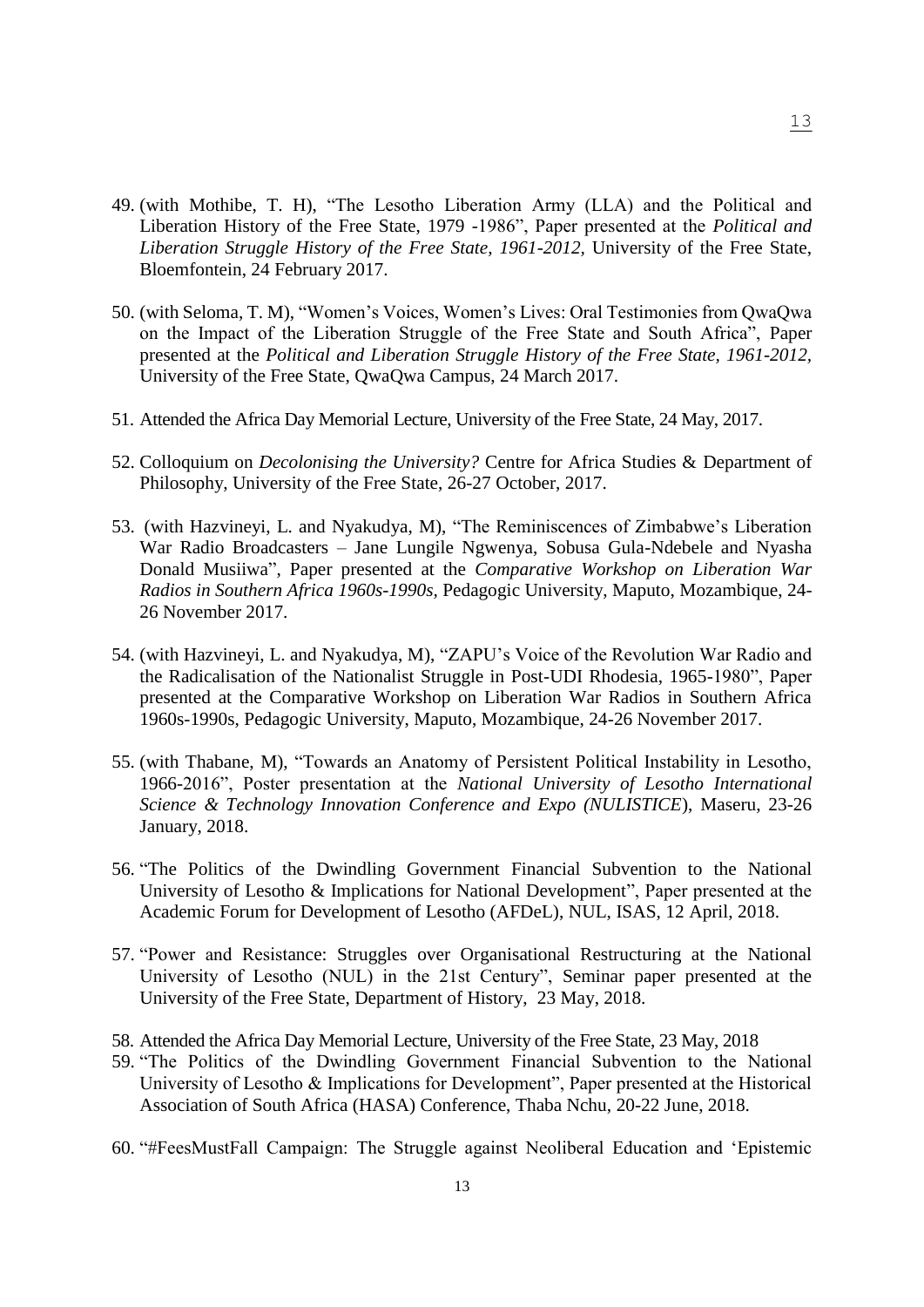- 49. (with Mothibe, T. H), "The Lesotho Liberation Army (LLA) and the Political and Liberation History of the Free State, 1979 -1986", Paper presented at the *Political and Liberation Struggle History of the Free State, 1961-2012,* University of the Free State, Bloemfontein, 24 February 2017.
- 50. (with Seloma, T. M), "Women's Voices, Women's Lives: Oral Testimonies from QwaQwa on the Impact of the Liberation Struggle of the Free State and South Africa", Paper presented at the *Political and Liberation Struggle History of the Free State, 1961-2012,*  University of the Free State, QwaQwa Campus, 24 March 2017.
- 51. Attended the Africa Day Memorial Lecture, University of the Free State, 24 May, 2017.
- 52. Colloquium on *Decolonising the University?* Centre for Africa Studies & Department of Philosophy, University of the Free State, 26-27 October, 2017.
- 53. (with Hazvineyi, L. and Nyakudya, M), "The Reminiscences of Zimbabwe's Liberation War Radio Broadcasters – Jane Lungile Ngwenya, Sobusa Gula-Ndebele and Nyasha Donald Musiiwa", Paper presented at the *Comparative Workshop on Liberation War Radios in Southern Africa 1960s-1990s,* Pedagogic University, Maputo, Mozambique, 24- 26 November 2017.
- 54. (with Hazvineyi, L. and Nyakudya, M), "ZAPU's Voice of the Revolution War Radio and the Radicalisation of the Nationalist Struggle in Post-UDI Rhodesia, 1965-1980", Paper presented at the Comparative Workshop on Liberation War Radios in Southern Africa 1960s-1990s, Pedagogic University, Maputo, Mozambique, 24-26 November 2017.
- 55. (with Thabane, M), "Towards an Anatomy of Persistent Political Instability in Lesotho, 1966-2016", Poster presentation at the *National University of Lesotho International Science & Technology Innovation Conference and Expo (NULISTICE*), Maseru, 23-26 January, 2018.
- 56. "The Politics of the Dwindling Government Financial Subvention to the National University of Lesotho & Implications for National Development", Paper presented at the Academic Forum for Development of Lesotho (AFDeL), NUL, ISAS, 12 April, 2018.
- 57. "Power and Resistance: Struggles over Organisational Restructuring at the National University of Lesotho (NUL) in the 21st Century", Seminar paper presented at the University of the Free State, Department of History, 23 May, 2018.
- 58. Attended the Africa Day Memorial Lecture, University of the Free State, 23 May, 2018
- 59. "The Politics of the Dwindling Government Financial Subvention to the National University of Lesotho & Implications for Development", Paper presented at the Historical Association of South Africa (HASA) Conference, Thaba Nchu, 20-22 June, 2018.
- 60. "#FeesMustFall Campaign: The Struggle against Neoliberal Education and 'Epistemic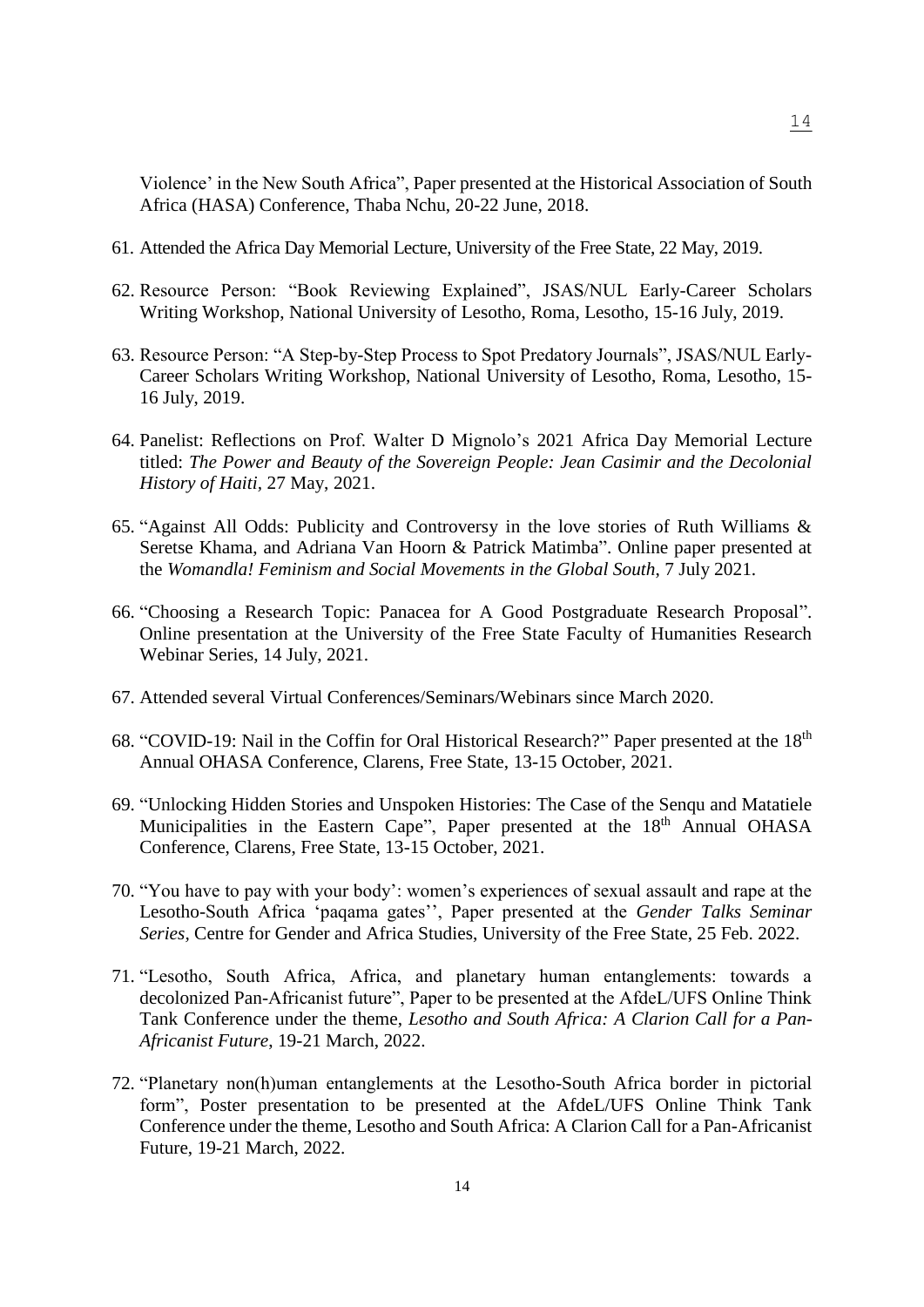Violence' in the New South Africa", Paper presented at the Historical Association of South Africa (HASA) Conference, Thaba Nchu, 20-22 June, 2018.

- 61. Attended the Africa Day Memorial Lecture, University of the Free State, 22 May, 2019.
- 62. Resource Person: "Book Reviewing Explained", JSAS/NUL Early-Career Scholars Writing Workshop, National University of Lesotho, Roma, Lesotho, 15-16 July, 2019.
- 63. Resource Person: "A Step-by-Step Process to Spot Predatory Journals", JSAS/NUL Early-Career Scholars Writing Workshop, National University of Lesotho, Roma, Lesotho, 15- 16 July, 2019.
- 64. Panelist: Reflections on Prof. Walter D Mignolo's 2021 Africa Day Memorial Lecture titled: *The Power and Beauty of the Sovereign People: Jean Casimir and the Decolonial History of Haiti,* 27 May, 2021.
- 65. "Against All Odds: Publicity and Controversy in the love stories of Ruth Williams & Seretse Khama, and Adriana Van Hoorn & Patrick Matimba". Online paper presented at the *Womandla! Feminism and Social Movements in the Global South*, 7 July 2021.
- 66. "Choosing a Research Topic: Panacea for A Good Postgraduate Research Proposal". Online presentation at the University of the Free State Faculty of Humanities Research Webinar Series, 14 July, 2021.
- 67. Attended several Virtual Conferences/Seminars/Webinars since March 2020.
- 68. "COVID-19: Nail in the Coffin for Oral Historical Research?" Paper presented at the 18<sup>th</sup> Annual OHASA Conference, Clarens, Free State, 13-15 October, 2021.
- 69. "Unlocking Hidden Stories and Unspoken Histories: The Case of the Senqu and Matatiele Municipalities in the Eastern Cape", Paper presented at the 18<sup>th</sup> Annual OHASA Conference, Clarens, Free State, 13-15 October, 2021.
- 70. "You have to pay with your body': women's experiences of sexual assault and rape at the Lesotho-South Africa 'paqama gates'', Paper presented at the *Gender Talks Seminar Series,* Centre for Gender and Africa Studies, University of the Free State, 25 Feb. 2022.
- 71. "Lesotho, South Africa, Africa, and planetary human entanglements: towards a decolonized Pan-Africanist future", Paper to be presented at the AfdeL/UFS Online Think Tank Conference under the theme, *Lesotho and South Africa: A Clarion Call for a Pan-Africanist Future*, 19-21 March, 2022.
- 72. "Planetary non(h)uman entanglements at the Lesotho-South Africa border in pictorial form", Poster presentation to be presented at the AfdeL/UFS Online Think Tank Conference under the theme, Lesotho and South Africa: A Clarion Call for a Pan-Africanist Future, 19-21 March, 2022.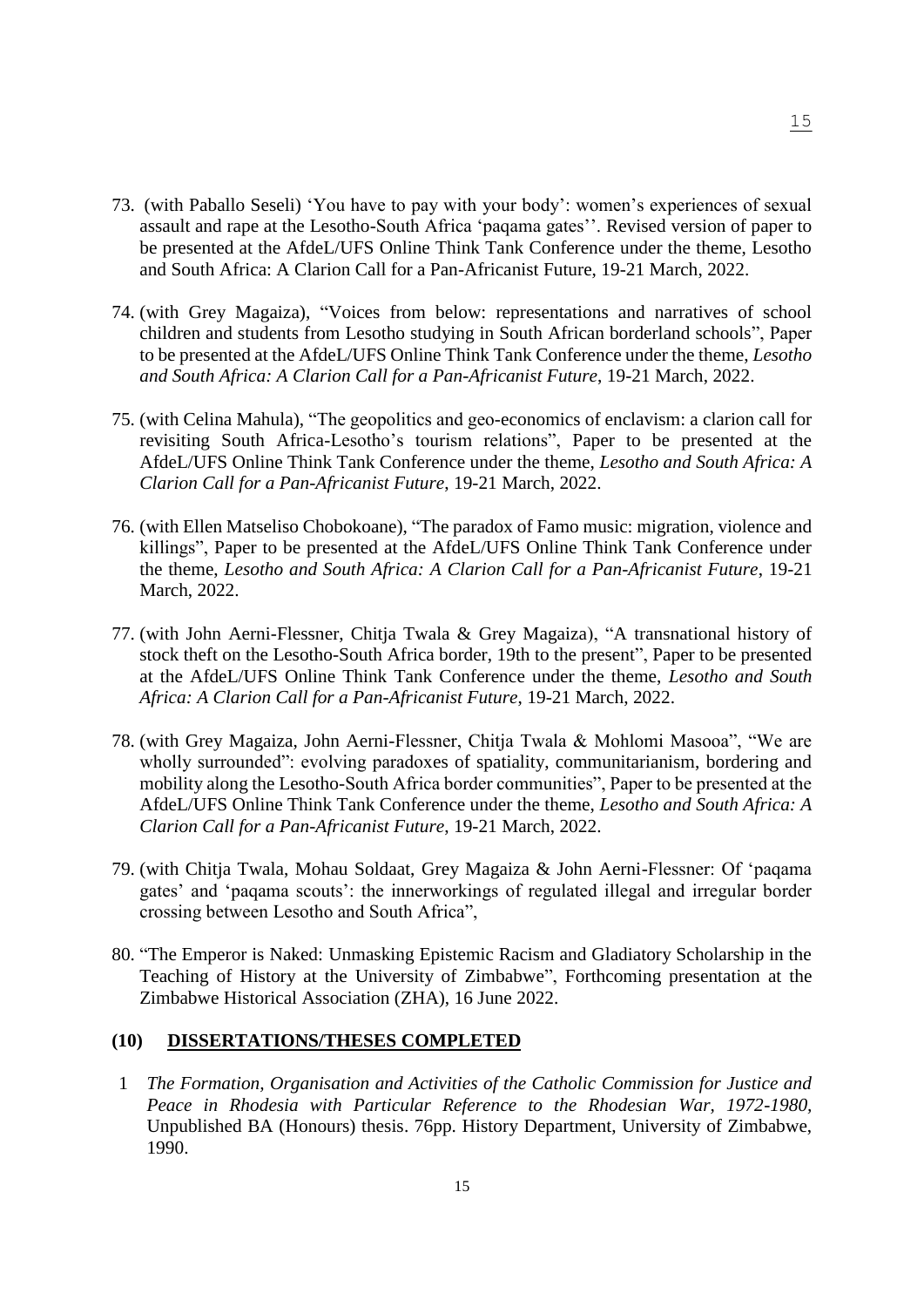- 73. (with Paballo Seseli) 'You have to pay with your body': women's experiences of sexual assault and rape at the Lesotho-South Africa 'paqama gates''. Revised version of paper to be presented at the AfdeL/UFS Online Think Tank Conference under the theme, Lesotho and South Africa: A Clarion Call for a Pan-Africanist Future, 19-21 March, 2022.
- 74. (with Grey Magaiza), "Voices from below: representations and narratives of school children and students from Lesotho studying in South African borderland schools", Paper to be presented at the AfdeL/UFS Online Think Tank Conference under the theme, *Lesotho and South Africa: A Clarion Call for a Pan-Africanist Future*, 19-21 March, 2022.
- 75. (with Celina Mahula), "The geopolitics and geo-economics of enclavism: a clarion call for revisiting South Africa-Lesotho's tourism relations", Paper to be presented at the AfdeL/UFS Online Think Tank Conference under the theme, *Lesotho and South Africa: A Clarion Call for a Pan-Africanist Future*, 19-21 March, 2022.
- 76. (with Ellen Matseliso Chobokoane), "The paradox of Famo music: migration, violence and killings", Paper to be presented at the AfdeL/UFS Online Think Tank Conference under the theme, *Lesotho and South Africa: A Clarion Call for a Pan-Africanist Future*, 19-21 March, 2022.
- 77. (with John Aerni-Flessner, Chitja Twala & Grey Magaiza), "A transnational history of stock theft on the Lesotho-South Africa border, 19th to the present", Paper to be presented at the AfdeL/UFS Online Think Tank Conference under the theme, *Lesotho and South Africa: A Clarion Call for a Pan-Africanist Future*, 19-21 March, 2022.
- 78. (with Grey Magaiza, John Aerni-Flessner, Chitja Twala & Mohlomi Masooa", "We are wholly surrounded": evolving paradoxes of spatiality, communitarianism, bordering and mobility along the Lesotho-South Africa border communities", Paper to be presented at the AfdeL/UFS Online Think Tank Conference under the theme, *Lesotho and South Africa: A Clarion Call for a Pan-Africanist Future*, 19-21 March, 2022.
- 79. (with Chitja Twala, Mohau Soldaat, Grey Magaiza & John Aerni-Flessner: Of 'paqama gates' and 'paqama scouts': the innerworkings of regulated illegal and irregular border crossing between Lesotho and South Africa",
- 80. "The Emperor is Naked: Unmasking Epistemic Racism and Gladiatory Scholarship in the Teaching of History at the University of Zimbabwe", Forthcoming presentation at the Zimbabwe Historical Association (ZHA), 16 June 2022.

#### **(10) DISSERTATIONS/THESES COMPLETED**

1 *The Formation, Organisation and Activities of the Catholic Commission for Justice and Peace in Rhodesia with Particular Reference to the Rhodesian War, 1972-1980,* Unpublished BA (Honours) thesis. 76pp. History Department, University of Zimbabwe, 1990.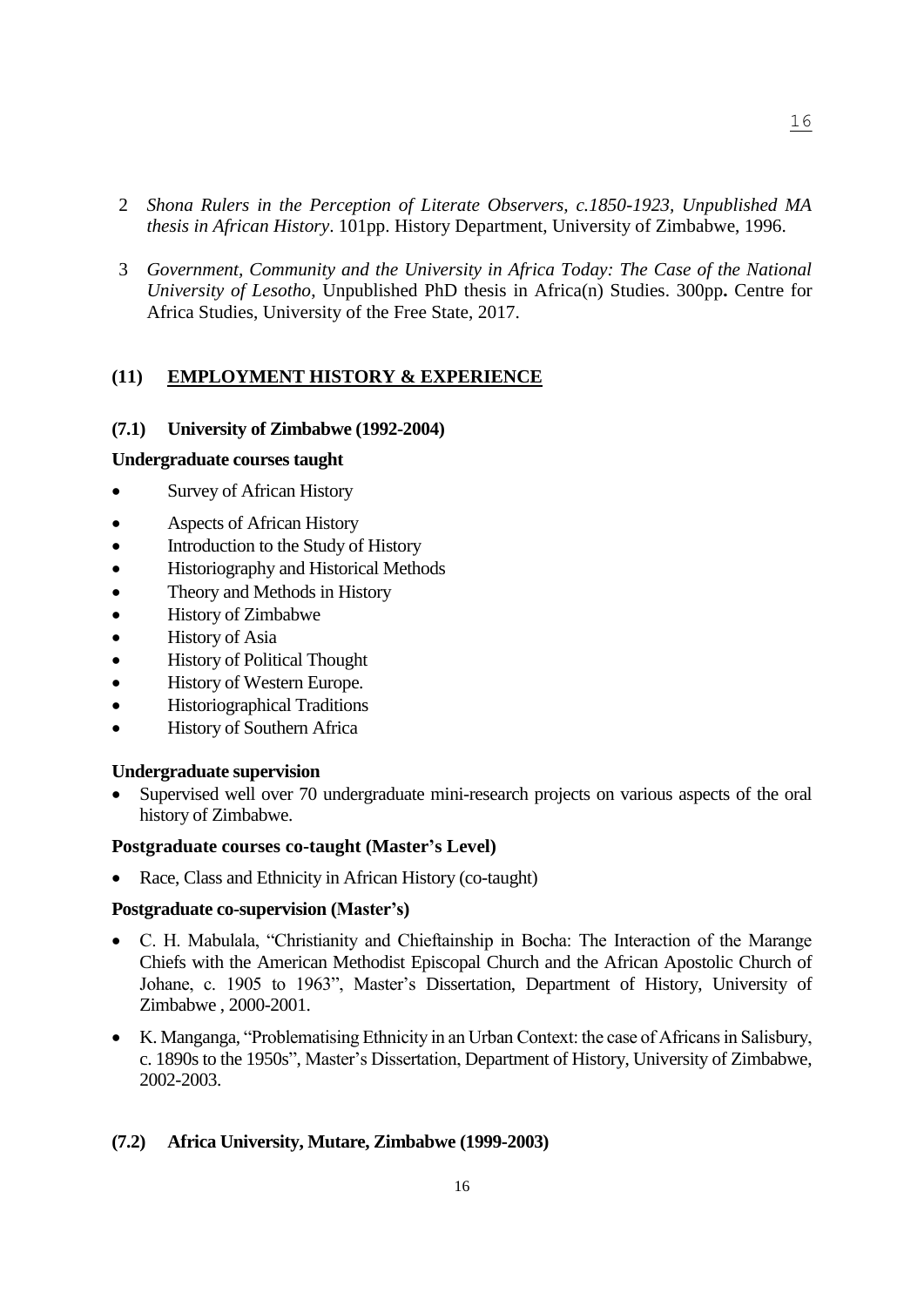- 2 *Shona Rulers in the Perception of Literate Observers, c.1850-1923, Unpublished MA thesis in African History*. 101pp. History Department, University of Zimbabwe, 1996.
- 3 *Government, Community and the University in Africa Today: The Case of the National University of Lesotho*, Unpublished PhD thesis in Africa(n) Studies. 300pp**.** Centre for Africa Studies, University of the Free State, 2017.

## **(11) EMPLOYMENT HISTORY & EXPERIENCE**

#### **(7.1) University of Zimbabwe (1992-2004)**

#### **Undergraduate courses taught**

- Survey of African History
- Aspects of African History
- Introduction to the Study of History
- Historiography and Historical Methods
- Theory and Methods in History
- History of Zimbabwe
- History of Asia
- History of Political Thought
- History of Western Europe.
- Historiographical Traditions
- History of Southern Africa

#### **Undergraduate supervision**

 Supervised well over 70 undergraduate mini-research projects on various aspects of the oral history of Zimbabwe.

### **Postgraduate courses co-taught (Master's Level)**

Race, Class and Ethnicity in African History (co-taught)

#### **Postgraduate co-supervision (Master's)**

- C. H. Mabulala, "Christianity and Chieftainship in Bocha: The Interaction of the Marange Chiefs with the American Methodist Episcopal Church and the African Apostolic Church of Johane, c. 1905 to 1963", Master's Dissertation, Department of History, University of Zimbabwe , 2000-2001.
- K. Manganga, "Problematising Ethnicity in an Urban Context: the case of Africans in Salisbury, c. 1890s to the 1950s", Master's Dissertation, Department of History, University of Zimbabwe, 2002-2003.

#### **(7.2) Africa University, Mutare, Zimbabwe (1999-2003)**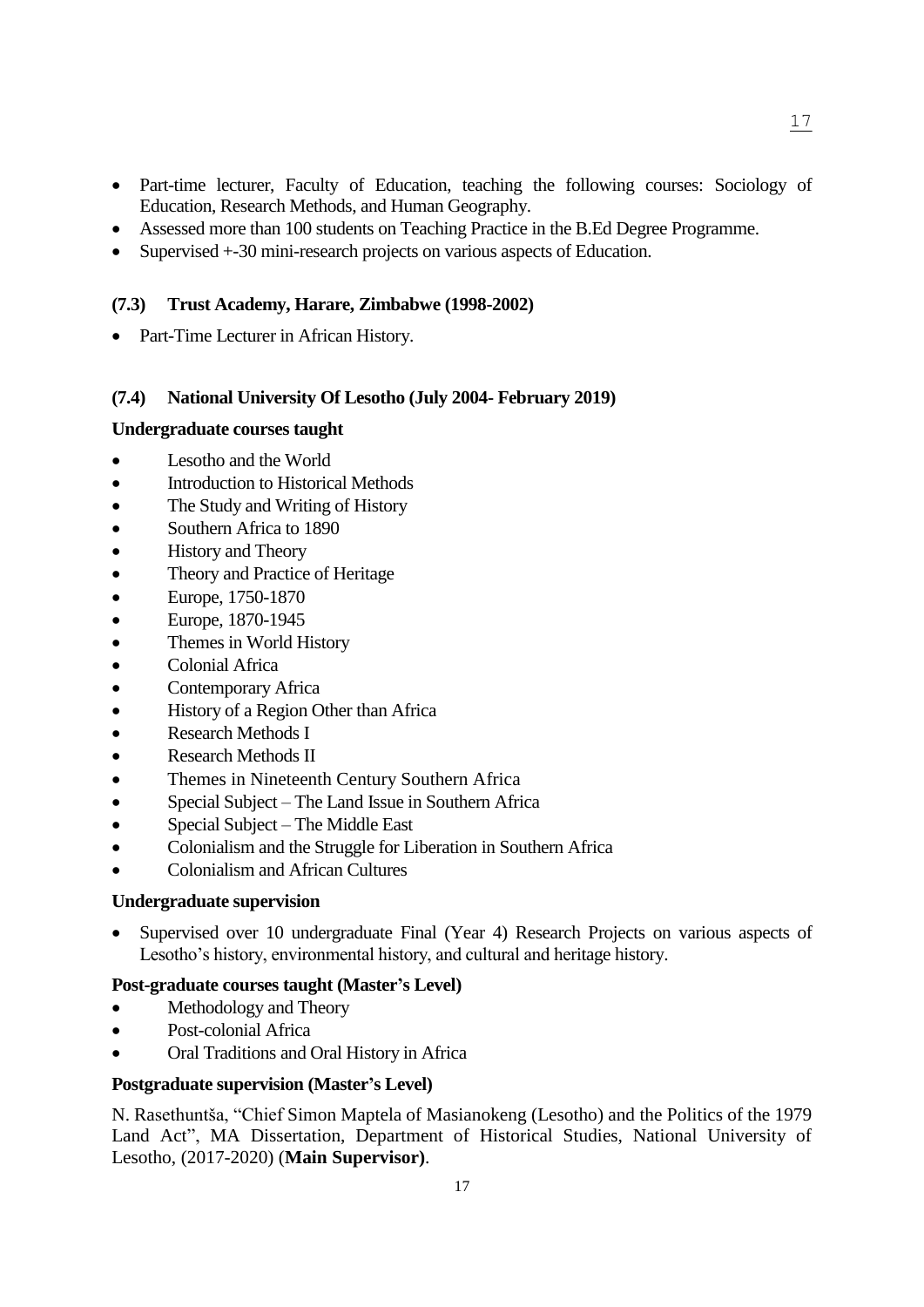- Part-time lecturer, Faculty of Education, teaching the following courses: Sociology of Education, Research Methods, and Human Geography.
- Assessed more than 100 students on Teaching Practice in the B.Ed Degree Programme.
- Supervised  $+30$  mini-research projects on various aspects of Education.

### **(7.3) Trust Academy, Harare, Zimbabwe (1998-2002)**

• Part-Time Lecturer in African History.

### **(7.4) National University Of Lesotho (July 2004- February 2019)**

### **Undergraduate courses taught**

- Lesotho and the World
- Introduction to Historical Methods
- The Study and Writing of History
- Southern Africa to 1890
- History and Theory
- Theory and Practice of Heritage
- Europe, 1750-1870
- Europe, 1870-1945
- Themes in World History
- Colonial Africa
- Contemporary Africa
- History of a Region Other than Africa
- Research Methods I
- Research Methods II
- Themes in Nineteenth Century Southern Africa
- Special Subject The Land Issue in Southern Africa
- Special Subject The Middle East
- Colonialism and the Struggle for Liberation in Southern Africa
- Colonialism and African Cultures

### **Undergraduate supervision**

 Supervised over 10 undergraduate Final (Year 4) Research Projects on various aspects of Lesotho's history, environmental history, and cultural and heritage history.

### **Post-graduate courses taught (Master's Level)**

- Methodology and Theory
- Post-colonial Africa
- Oral Traditions and Oral History in Africa

### **Postgraduate supervision (Master's Level)**

N. Rasethuntša, "Chief Simon Maptela of Masianokeng (Lesotho) and the Politics of the 1979 Land Act", MA Dissertation, Department of Historical Studies, National University of Lesotho, (2017-2020) (**Main Supervisor)**.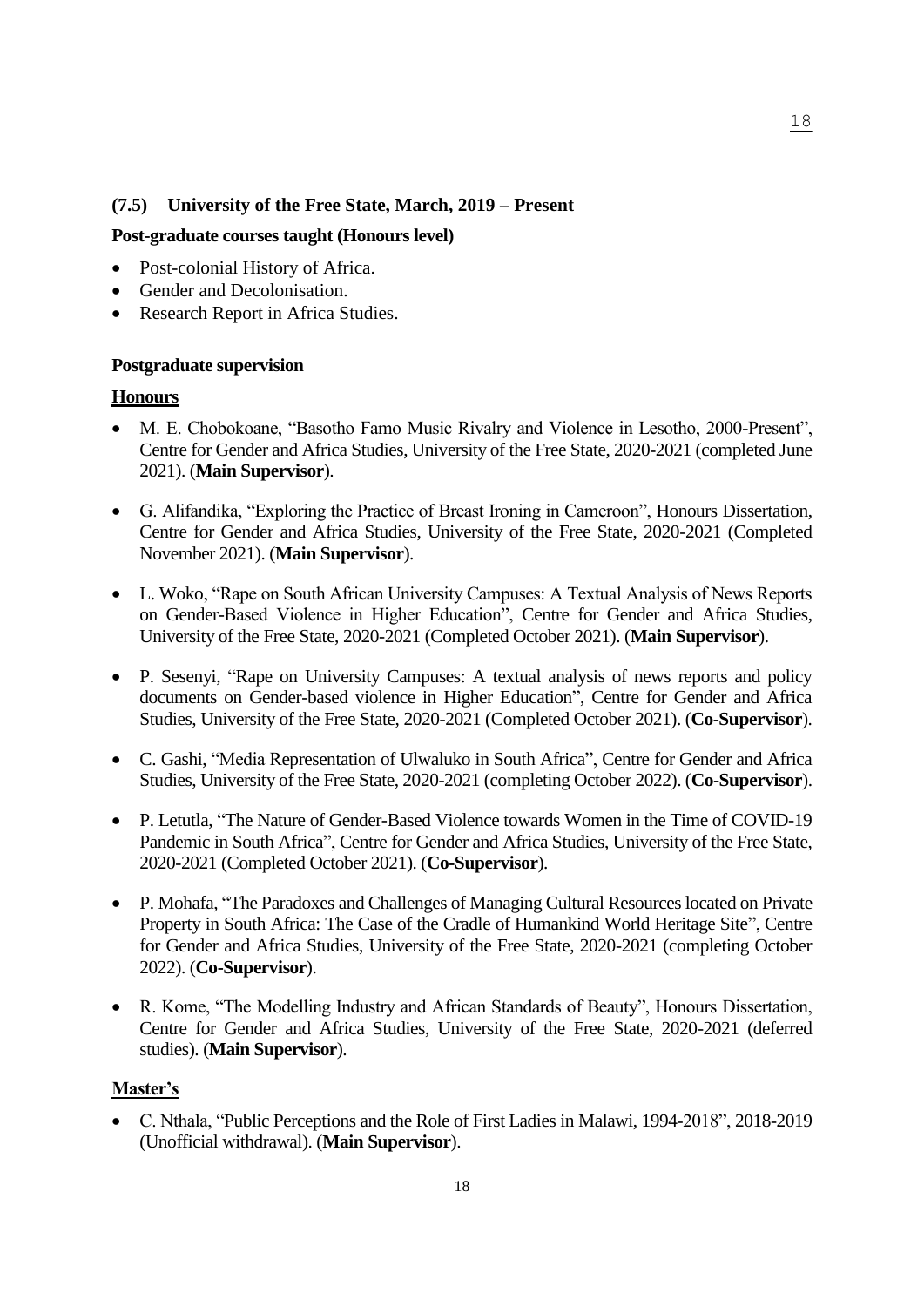## **(7.5) University of the Free State, March, 2019 – Present**

### **Post-graduate courses taught (Honours level)**

- Post-colonial History of Africa.
- Gender and Decolonisation.
- Research Report in Africa Studies.

### **Postgraduate supervision**

## **Honours**

- M. E. Chobokoane, "Basotho Famo Music Rivalry and Violence in Lesotho, 2000-Present", Centre for Gender and Africa Studies, University of the Free State, 2020-2021 (completed June 2021). (**Main Supervisor**).
- G. Alifandika, "Exploring the Practice of Breast Ironing in Cameroon", Honours Dissertation, Centre for Gender and Africa Studies, University of the Free State, 2020-2021 (Completed November 2021). (**Main Supervisor**).
- L. Woko, "Rape on South African University Campuses: A Textual Analysis of News Reports on Gender-Based Violence in Higher Education", Centre for Gender and Africa Studies, University of the Free State, 2020-2021 (Completed October 2021). (**Main Supervisor**).
- P. Sesenyi, "Rape on University Campuses: A textual analysis of news reports and policy documents on Gender-based violence in Higher Education", Centre for Gender and Africa Studies, University of the Free State, 2020-2021 (Completed October 2021). (**Co-Supervisor**).
- C. Gashi, "Media Representation of Ulwaluko in South Africa", Centre for Gender and Africa Studies, University of the Free State, 2020-2021 (completing October 2022). (**Co-Supervisor**).
- P. Letutla, "The Nature of Gender-Based Violence towards Women in the Time of COVID-19 Pandemic in South Africa", Centre for Gender and Africa Studies, University of the Free State, 2020-2021 (Completed October 2021). (**Co-Supervisor**).
- P. Mohafa, "The Paradoxes and Challenges of Managing Cultural Resources located on Private Property in South Africa: The Case of the Cradle of Humankind World Heritage Site", Centre for Gender and Africa Studies, University of the Free State, 2020-2021 (completing October 2022). (**Co-Supervisor**).
- R. Kome, "The Modelling Industry and African Standards of Beauty", Honours Dissertation, Centre for Gender and Africa Studies, University of the Free State, 2020-2021 (deferred studies). (**Main Supervisor**).

### **Master's**

 C. Nthala, "Public Perceptions and the Role of First Ladies in Malawi, 1994-2018", 2018-2019 (Unofficial withdrawal). (**Main Supervisor**).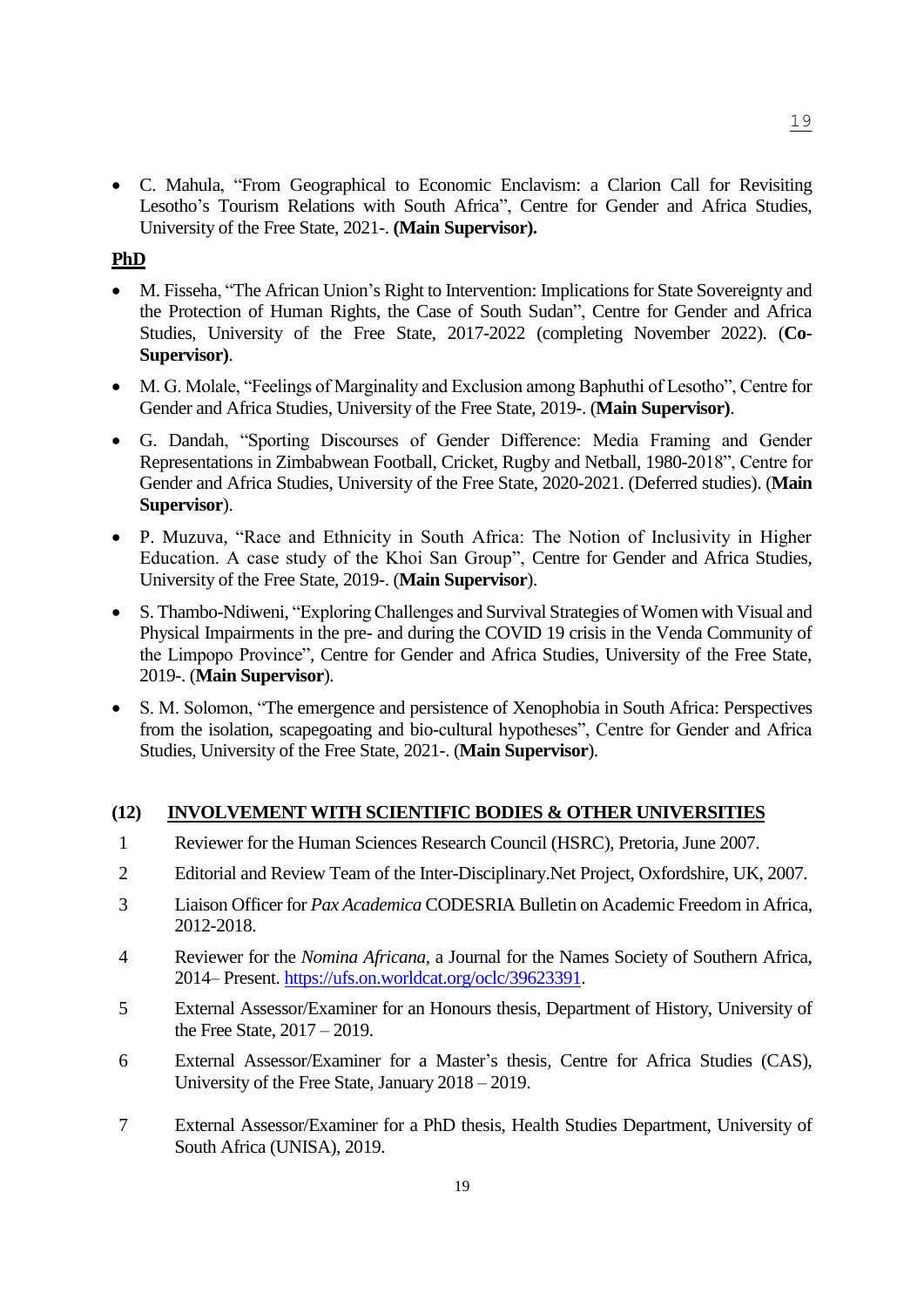C. Mahula, "From Geographical to Economic Enclavism: a Clarion Call for Revisiting Lesotho's Tourism Relations with South Africa", Centre for Gender and Africa Studies, University of the Free State, 2021-. **(Main Supervisor).** 

## **PhD**

- M. Fisseha, "The African Union's Right to Intervention: Implications for State Sovereignty and the Protection of Human Rights, the Case of South Sudan", Centre for Gender and Africa Studies, University of the Free State, 2017-2022 (completing November 2022). (**Co-Supervisor)**.
- M. G. Molale, "Feelings of Marginality and Exclusion among Baphuthi of Lesotho", Centre for Gender and Africa Studies, University of the Free State, 2019-. (**Main Supervisor)**.
- G. Dandah, "Sporting Discourses of Gender Difference: Media Framing and Gender Representations in Zimbabwean Football, Cricket, Rugby and Netball, 1980-2018", Centre for Gender and Africa Studies, University of the Free State, 2020-2021. (Deferred studies). (**Main Supervisor**).
- P. Muzuva, "Race and Ethnicity in South Africa: The Notion of Inclusivity in Higher Education. A case study of the Khoi San Group", Centre for Gender and Africa Studies, University of the Free State, 2019-. (**Main Supervisor**).
- S. Thambo-Ndiweni, "Exploring Challenges and Survival Strategies of Women with Visual and Physical Impairments in the pre- and during the COVID 19 crisis in the Venda Community of the Limpopo Province", Centre for Gender and Africa Studies, University of the Free State, 2019-. (**Main Supervisor**).
- S. M. Solomon, "The emergence and persistence of Xenophobia in South Africa: Perspectives from the isolation, scapegoating and bio-cultural hypotheses", Centre for Gender and Africa Studies, University of the Free State, 2021-. (**Main Supervisor**).

### **(12) INVOLVEMENT WITH SCIENTIFIC BODIES & OTHER UNIVERSITIES**

- 1 Reviewer for the Human Sciences Research Council (HSRC), Pretoria, June 2007.
- 2 Editorial and Review Team of the Inter-Disciplinary.Net Project, Oxfordshire, UK, 2007.
- 3 Liaison Officer for *Pax Academica* CODESRIA Bulletin on Academic Freedom in Africa, 2012-2018.
- 4 Reviewer for the *Nomina Africana,* a Journal for the Names Society of Southern Africa, 2014– Present. [https://ufs.on.worldcat.org/oclc/39623391.](https://ufs.on.worldcat.org/oclc/39623391)
- 5 External Assessor/Examiner for an Honours thesis, Department of History, University of the Free State, 2017 – 2019.
- 6 External Assessor/Examiner for a Master's thesis, Centre for Africa Studies (CAS), University of the Free State, January 2018 – 2019.
- 7 External Assessor/Examiner for a PhD thesis, Health Studies Department, University of South Africa (UNISA), 2019.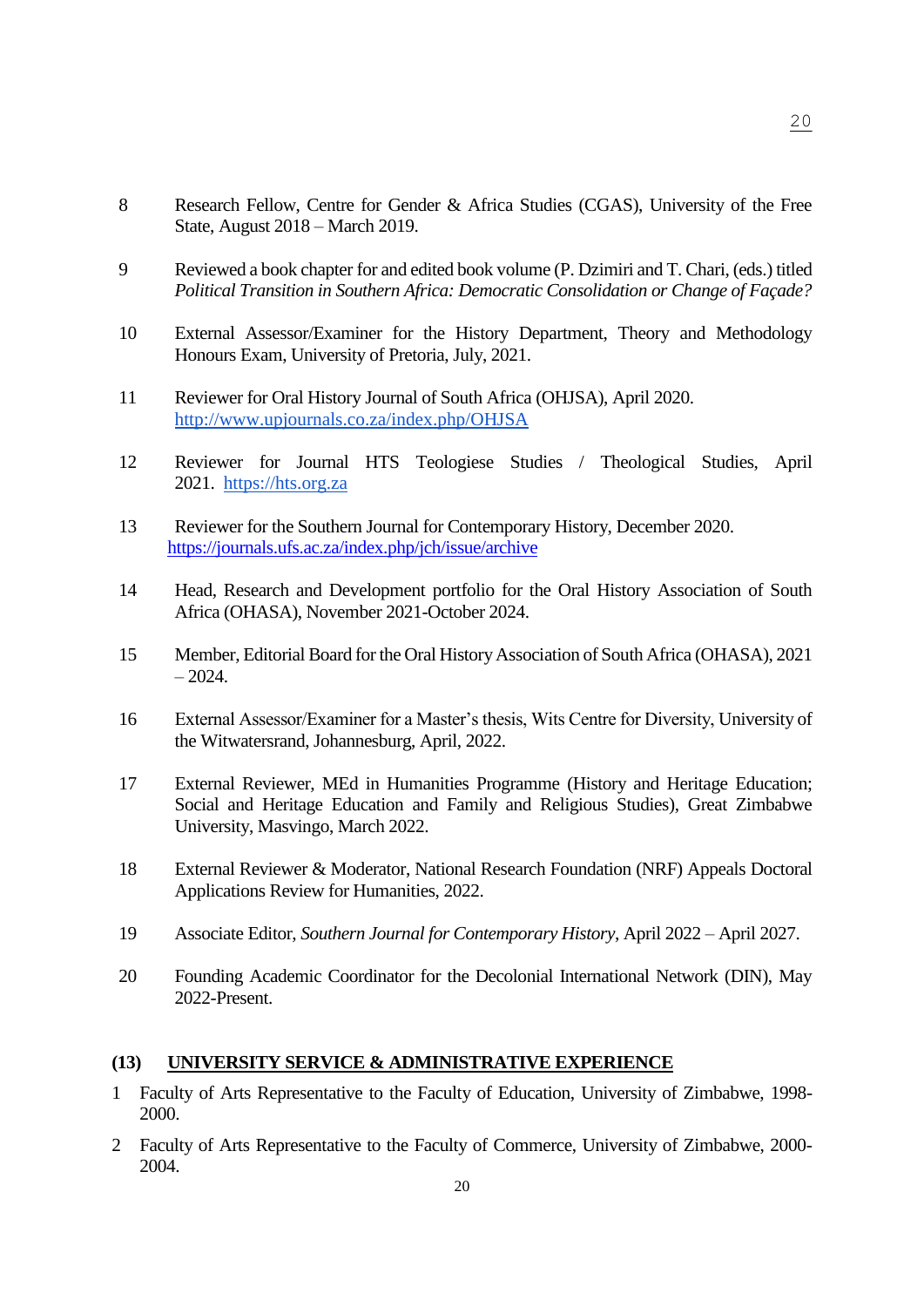- 8 Research Fellow, Centre for Gender & Africa Studies (CGAS), University of the Free State, August 2018 – March 2019.
- 9 Reviewed a book chapter for and edited book volume (P. Dzimiri and T. Chari, (eds.) titled *Political Transition in Southern Africa: Democratic Consolidation or Change of Façade?*
- 10 External Assessor/Examiner for the History Department, Theory and Methodology Honours Exam, University of Pretoria, July, 2021.
- 11 Reviewer for Oral History Journal of South Africa (OHJSA), April 2020. <http://www.upjournals.co.za/index.php/OHJSA>
- 12 Reviewer for Journal HTS Teologiese Studies / Theological Studies, April 2021. [https://hts.org.za](https://hts.org.za/)
- 13 Reviewer for the Southern Journal for Contemporary History, December 2020. <https://journals.ufs.ac.za/index.php/jch/issue/archive>
- 14 Head, Research and Development portfolio for the Oral History Association of South Africa (OHASA), November 2021-October 2024.
- 15 Member, Editorial Board for the Oral History Association of South Africa (OHASA), 2021  $-2024$
- 16 External Assessor/Examiner for a Master's thesis, Wits Centre for Diversity, University of the Witwatersrand, Johannesburg, April, 2022.
- 17 External Reviewer, MEd in Humanities Programme (History and Heritage Education; Social and Heritage Education and Family and Religious Studies), Great Zimbabwe University, Masvingo, March 2022.
- 18 External Reviewer & Moderator, National Research Foundation (NRF) Appeals Doctoral Applications Review for Humanities, 2022.
- 19 Associate Editor, *Southern Journal for Contemporary History*, April 2022 April 2027.
- 20 Founding Academic Coordinator for the Decolonial International Network (DIN), May 2022-Present.

#### **(13) UNIVERSITY SERVICE & ADMINISTRATIVE EXPERIENCE**

- 1 Faculty of Arts Representative to the Faculty of Education, University of Zimbabwe, 1998- 2000.
- 2 Faculty of Arts Representative to the Faculty of Commerce, University of Zimbabwe, 2000- 2004.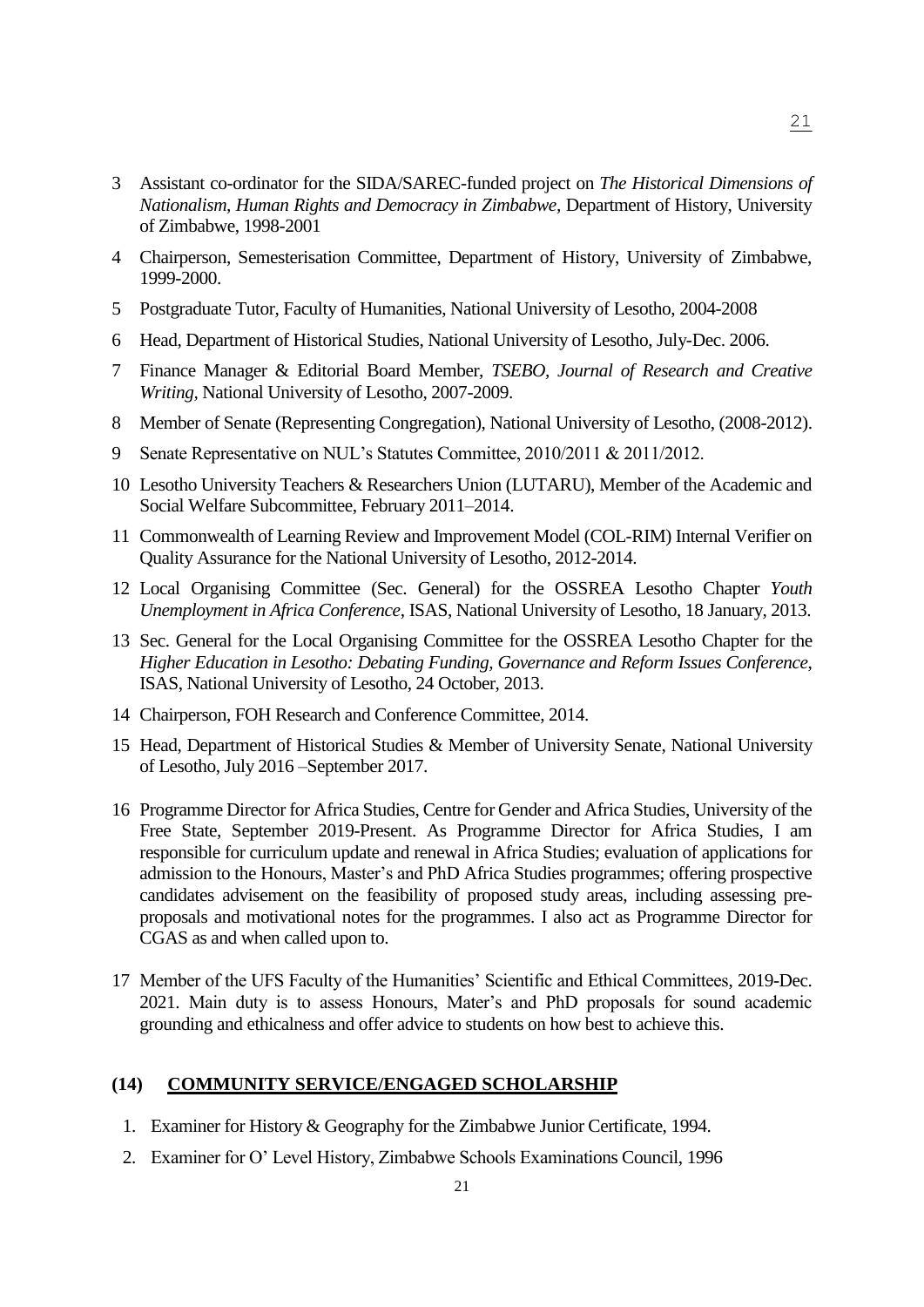- 3 Assistant co-ordinator for the SIDA/SAREC-funded project on *The Historical Dimensions of Nationalism, Human Rights and Democracy in Zimbabwe,* Department of History, University of Zimbabwe, 1998-2001
- 4 Chairperson, Semesterisation Committee, Department of History, University of Zimbabwe, 1999-2000.
- 5 Postgraduate Tutor, Faculty of Humanities, National University of Lesotho, 2004-2008
- 6 Head, Department of Historical Studies, National University of Lesotho, July-Dec. 2006.
- 7 Finance Manager & Editorial Board Member, *TSEBO, Journal of Research and Creative Writing,* National University of Lesotho, 2007-2009.
- 8 Member of Senate (Representing Congregation), National University of Lesotho, (2008-2012).
- 9 Senate Representative on NUL's Statutes Committee, 2010/2011 & 2011/2012.
- 10 Lesotho University Teachers & Researchers Union (LUTARU), Member of the Academic and Social Welfare Subcommittee, February 2011–2014.
- 11 Commonwealth of Learning Review and Improvement Model (COL-RIM) Internal Verifier on Quality Assurance for the National University of Lesotho, 2012-2014.
- 12 Local Organising Committee (Sec. General) for the OSSREA Lesotho Chapter *Youth Unemployment in Africa Conference*, ISAS, National University of Lesotho, 18 January, 2013.
- 13 Sec. General for the Local Organising Committee for the OSSREA Lesotho Chapter for the *Higher Education in Lesotho: Debating Funding, Governance and Reform Issues Conference*, ISAS, National University of Lesotho, 24 October, 2013.
- 14 Chairperson, FOH Research and Conference Committee, 2014.
- 15 Head, Department of Historical Studies & Member of University Senate, National University of Lesotho, July 2016 –September 2017.
- 16 Programme Director for Africa Studies, Centre for Gender and Africa Studies, University of the Free State, September 2019-Present. As Programme Director for Africa Studies, I am responsible for curriculum update and renewal in Africa Studies; evaluation of applications for admission to the Honours, Master's and PhD Africa Studies programmes; offering prospective candidates advisement on the feasibility of proposed study areas, including assessing preproposals and motivational notes for the programmes. I also act as Programme Director for CGAS as and when called upon to.
- 17 Member of the UFS Faculty of the Humanities' Scientific and Ethical Committees, 2019-Dec. 2021. Main duty is to assess Honours, Mater's and PhD proposals for sound academic grounding and ethicalness and offer advice to students on how best to achieve this.

### **(14) COMMUNITY SERVICE/ENGAGED SCHOLARSHIP**

- 1. Examiner for History & Geography for the Zimbabwe Junior Certificate, 1994.
- 2. Examiner for O' Level History, Zimbabwe Schools Examinations Council, 1996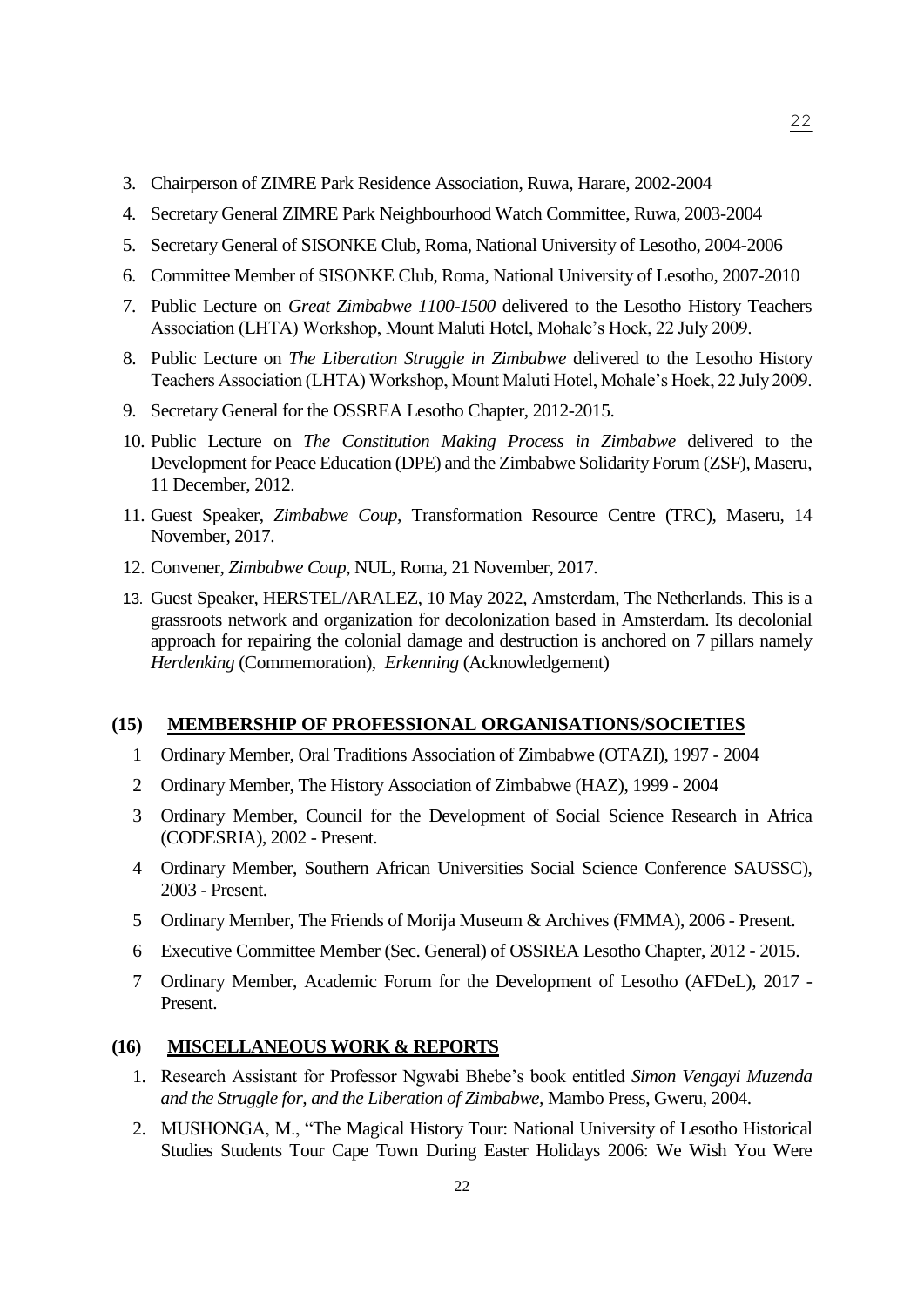- 3. Chairperson of ZIMRE Park Residence Association, Ruwa, Harare, 2002-2004
- 4. Secretary General ZIMRE Park Neighbourhood Watch Committee, Ruwa, 2003-2004
- 5. Secretary General of SISONKE Club, Roma, National University of Lesotho, 2004-2006
- 6. Committee Member of SISONKE Club, Roma, National University of Lesotho, 2007-2010
- 7. Public Lecture on *Great Zimbabwe 1100-1500* delivered to the Lesotho History Teachers Association (LHTA) Workshop, Mount Maluti Hotel, Mohale's Hoek, 22 July 2009.
- 8. Public Lecture on *The Liberation Struggle in Zimbabwe* delivered to the Lesotho History Teachers Association (LHTA) Workshop, Mount Maluti Hotel, Mohale's Hoek, 22 July 2009.
- 9. Secretary General for the OSSREA Lesotho Chapter, 2012-2015.
- 10. Public Lecture on *The Constitution Making Process in Zimbabwe* delivered to the Development for Peace Education (DPE) and the Zimbabwe Solidarity Forum (ZSF), Maseru, 11 December, 2012.
- 11. Guest Speaker, *Zimbabwe Coup,* Transformation Resource Centre (TRC), Maseru, 14 November, 2017.
- 12. Convener, *Zimbabwe Coup,* NUL, Roma, 21 November, 2017.
- 13. Guest Speaker, HERSTEL/ARALEZ, 10 May 2022, Amsterdam, The Netherlands. This is a grassroots network and organization for decolonization based in Amsterdam. Its decolonial approach for repairing the colonial damage and destruction is anchored on 7 pillars namely *Herdenking* (Commemoration), *Erkenning* (Acknowledgement)

### **(15) MEMBERSHIP OF PROFESSIONAL ORGANISATIONS/SOCIETIES**

- 1 Ordinary Member, Oral Traditions Association of Zimbabwe (OTAZI), 1997 2004
- 2 Ordinary Member, The History Association of Zimbabwe (HAZ), 1999 2004
- 3 Ordinary Member, Council for the Development of Social Science Research in Africa (CODESRIA), 2002 - Present.
- 4 Ordinary Member, Southern African Universities Social Science Conference SAUSSC), 2003 - Present.
- 5 Ordinary Member, The Friends of Morija Museum & Archives (FMMA), 2006 Present.
- 6 Executive Committee Member (Sec. General) of OSSREA Lesotho Chapter, 2012 2015.
- 7 Ordinary Member, Academic Forum for the Development of Lesotho (AFDeL), 2017 Present.

#### **(16) MISCELLANEOUS WORK & REPORTS**

- 1. Research Assistant for Professor Ngwabi Bhebe's book entitled *Simon Vengayi Muzenda and the Struggle for, and the Liberation of Zimbabwe,* Mambo Press, Gweru, 2004.
- 2. MUSHONGA, M., "The Magical History Tour: National University of Lesotho Historical Studies Students Tour Cape Town During Easter Holidays 2006: We Wish You Were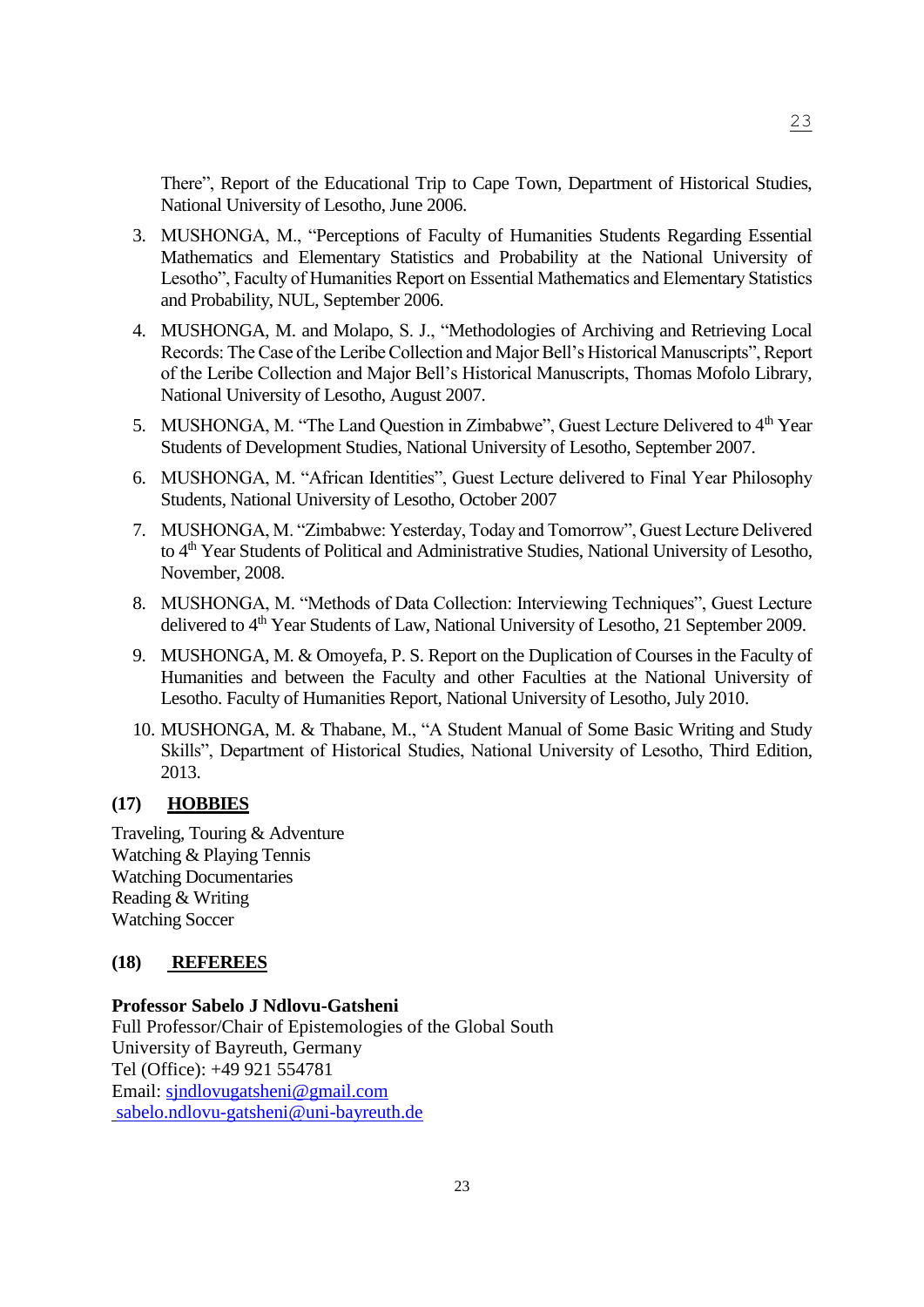There", Report of the Educational Trip to Cape Town, Department of Historical Studies, National University of Lesotho, June 2006.

- 3. MUSHONGA, M., "Perceptions of Faculty of Humanities Students Regarding Essential Mathematics and Elementary Statistics and Probability at the National University of Lesotho", Faculty of Humanities Report on Essential Mathematics and Elementary Statistics and Probability, NUL, September 2006.
- 4. MUSHONGA, M. and Molapo, S. J., "Methodologies of Archiving and Retrieving Local Records: The Case of the Leribe Collection and Major Bell's Historical Manuscripts", Report of the Leribe Collection and Major Bell's Historical Manuscripts, Thomas Mofolo Library, National University of Lesotho, August 2007.
- 5. MUSHONGA, M. "The Land Question in Zimbabwe", Guest Lecture Delivered to 4<sup>th</sup> Year Students of Development Studies, National University of Lesotho, September 2007.
- 6. MUSHONGA, M. "African Identities", Guest Lecture delivered to Final Year Philosophy Students, National University of Lesotho, October 2007
- 7. MUSHONGA, M. "Zimbabwe: Yesterday, Today and Tomorrow", Guest Lecture Delivered to 4<sup>th</sup> Year Students of Political and Administrative Studies, National University of Lesotho, November, 2008.
- 8. MUSHONGA, M. "Methods of Data Collection: Interviewing Techniques", Guest Lecture delivered to 4<sup>th</sup> Year Students of Law, National University of Lesotho, 21 September 2009.
- 9. MUSHONGA, M. & Omoyefa, P. S. Report on the Duplication of Courses in the Faculty of Humanities and between the Faculty and other Faculties at the National University of Lesotho. Faculty of Humanities Report, National University of Lesotho, July 2010.
- 10. MUSHONGA, M. & Thabane, M., "A Student Manual of Some Basic Writing and Study Skills", Department of Historical Studies, National University of Lesotho, Third Edition, 2013.

#### **(17) HOBBIES**

Traveling, Touring & Adventure Watching & Playing Tennis Watching Documentaries Reading & Writing Watching Soccer

### **(18) REFEREES**

#### **Professor Sabelo J Ndlovu-Gatsheni**

Full Professor/Chair of Epistemologies of the Global South University of Bayreuth, Germany Tel (Office): +49 921 554781 Email: [sjndlovugatsheni@gmail.com](mailto:sjndlovugatsheni@gmail.com) [sabelo.ndlovu-gatsheni@uni-bayreuth.de](mailto:sabelo.ndlovu-gatsheni@uni-bayreuth.de)